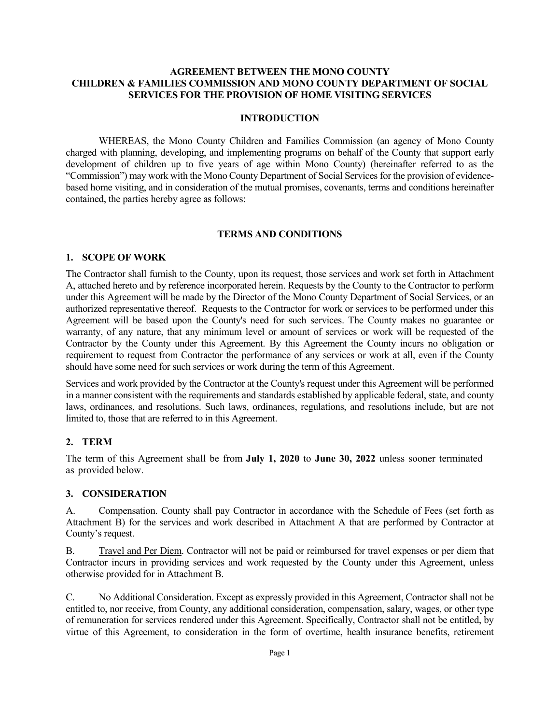#### **AGREEMENT BETWEEN THE MONO COUNTY CHILDREN & FAMILIES COMMISSION AND MONO COUNTY DEPARTMENT OF SOCIAL SERVICES FOR THE PROVISION OF HOME VISITING SERVICES**

#### **INTRODUCTION**

WHEREAS, the Mono County Children and Families Commission (an agency of Mono County charged with planning, developing, and implementing programs on behalf of the County that support early development of children up to five years of age within Mono County) (hereinafter referred to as the "Commission") may work with the Mono County Department of Social Services for the provision of evidencebased home visiting, and in consideration of the mutual promises, covenants, terms and conditions hereinafter contained, the parties hereby agree as follows:

#### **TERMS AND CONDITIONS**

#### **1. SCOPE OF WORK**

The Contractor shall furnish to the County, upon its request, those services and work set forth in Attachment A, attached hereto and by reference incorporated herein. Requests by the County to the Contractor to perform under this Agreement will be made by the Director of the Mono County Department of Social Services, or an authorized representative thereof. Requests to the Contractor for work or services to be performed under this Agreement will be based upon the County's need for such services. The County makes no guarantee or warranty, of any nature, that any minimum level or amount of services or work will be requested of the Contractor by the County under this Agreement. By this Agreement the County incurs no obligation or requirement to request from Contractor the performance of any services or work at all, even if the County should have some need for such services or work during the term of this Agreement.

Services and work provided by the Contractor at the County's request under this Agreement will be performed in a manner consistent with the requirements and standards established by applicable federal, state, and county laws, ordinances, and resolutions. Such laws, ordinances, regulations, and resolutions include, but are not limited to, those that are referred to in this Agreement.

#### **2. TERM**

The term of this Agreement shall be from **July 1, 2020** to **June 30, 2022** unless sooner terminated as provided below.

#### **3. CONSIDERATION**

A. Compensation. County shall pay Contractor in accordance with the Schedule of Fees (set forth as Attachment B) for the services and work described in Attachment A that are performed by Contractor at County's request.

B. Travel and Per Diem. Contractor will not be paid or reimbursed for travel expenses or per diem that Contractor incurs in providing services and work requested by the County under this Agreement, unless otherwise provided for in Attachment B.

C. No Additional Consideration. Except as expressly provided in this Agreement, Contractor shall not be entitled to, nor receive, from County, any additional consideration, compensation, salary, wages, or other type of remuneration for services rendered under this Agreement. Specifically, Contractor shall not be entitled, by virtue of this Agreement, to consideration in the form of overtime, health insurance benefits, retirement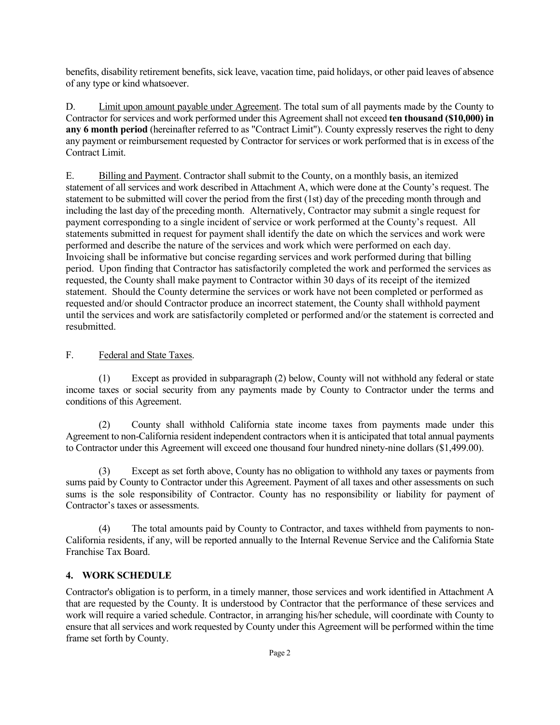benefits, disability retirement benefits, sick leave, vacation time, paid holidays, or other paid leaves of absence of any type or kind whatsoever.

D. Limit upon amount payable under Agreement. The total sum of all payments made by the County to Contractor for services and work performed under this Agreement shall not exceed **ten thousand (\$10,000) in any 6 month period** (hereinafter referred to as "Contract Limit"). County expressly reserves the right to deny any payment or reimbursement requested by Contractor for services or work performed that is in excess of the Contract Limit.

E. Billing and Payment. Contractor shall submit to the County, on a monthly basis, an itemized statement of all services and work described in Attachment A, which were done at the County's request. The statement to be submitted will cover the period from the first (1st) day of the preceding month through and including the last day of the preceding month. Alternatively, Contractor may submit a single request for payment corresponding to a single incident of service or work performed at the County's request. All statements submitted in request for payment shall identify the date on which the services and work were performed and describe the nature of the services and work which were performed on each day. Invoicing shall be informative but concise regarding services and work performed during that billing period. Upon finding that Contractor has satisfactorily completed the work and performed the services as requested, the County shall make payment to Contractor within 30 days of its receipt of the itemized statement. Should the County determine the services or work have not been completed or performed as requested and/or should Contractor produce an incorrect statement, the County shall withhold payment until the services and work are satisfactorily completed or performed and/or the statement is corrected and resubmitted.

### F. Federal and State Taxes.

(1) Except as provided in subparagraph (2) below, County will not withhold any federal or state income taxes or social security from any payments made by County to Contractor under the terms and conditions of this Agreement.

(2) County shall withhold California state income taxes from payments made under this Agreement to non-California resident independent contractors when it is anticipated that total annual payments to Contractor under this Agreement will exceed one thousand four hundred ninety-nine dollars (\$1,499.00).

(3) Except as set forth above, County has no obligation to withhold any taxes or payments from sums paid by County to Contractor under this Agreement. Payment of all taxes and other assessments on such sums is the sole responsibility of Contractor. County has no responsibility or liability for payment of Contractor's taxes or assessments.

(4) The total amounts paid by County to Contractor, and taxes withheld from payments to non-California residents, if any, will be reported annually to the Internal Revenue Service and the California State Franchise Tax Board.

#### **4. WORK SCHEDULE**

Contractor's obligation is to perform, in a timely manner, those services and work identified in Attachment A that are requested by the County. It is understood by Contractor that the performance of these services and work will require a varied schedule. Contractor, in arranging his/her schedule, will coordinate with County to ensure that all services and work requested by County under this Agreement will be performed within the time frame set forth by County.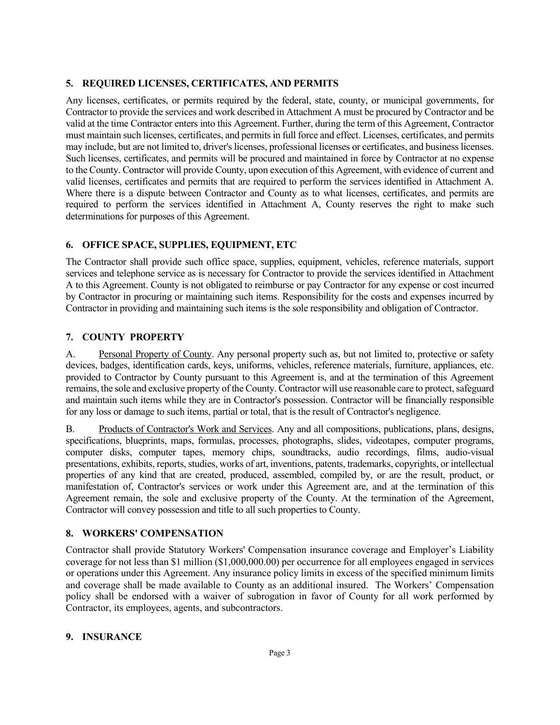#### **5. REQUIRED LICENSES, CERTIFICATES, AND PERMITS**

Any licenses, certificates, or permits required by the federal, state, county, or municipal governments, for Contractor to provide the services and work described in Attachment A must be procured by Contractor and be valid at the time Contractor enters into this Agreement. Further, during the term of this Agreement, Contractor must maintain such licenses, certificates, and permits in full force and effect. Licenses, certificates, and permits may include, but are not limited to, driver's licenses, professional licenses or certificates, and business licenses. Such licenses, certificates, and permits will be procured and maintained in force by Contractor at no expense to the County. Contractor will provide County, upon execution of this Agreement, with evidence of current and valid licenses, certificates and permits that are required to perform the services identified in Attachment A. Where there is a dispute between Contractor and County as to what licenses, certificates, and permits are required to perform the services identified in Attachment A, County reserves the right to make such determinations for purposes of this Agreement.

#### **6. OFFICE SPACE, SUPPLIES, EQUIPMENT, ETC**

The Contractor shall provide such office space, supplies, equipment, vehicles, reference materials, support services and telephone service as is necessary for Contractor to provide the services identified in Attachment A to this Agreement. County is not obligated to reimburse or pay Contractor for any expense or cost incurred by Contractor in procuring or maintaining such items. Responsibility for the costs and expenses incurred by Contractor in providing and maintaining such items is the sole responsibility and obligation of Contractor.

#### **7. COUNTY PROPERTY**

A. Personal Property of County. Any personal property such as, but not limited to, protective or safety devices, badges, identification cards, keys, uniforms, vehicles, reference materials, furniture, appliances, etc. provided to Contractor by County pursuant to this Agreement is, and at the termination of this Agreement remains, the sole and exclusive property of the County. Contractor will use reasonable care to protect, safeguard and maintain such items while they are in Contractor's possession. Contractor will be financially responsible for any loss or damage to such items, partial or total, that is the result of Contractor's negligence.

B. Products of Contractor's Work and Services. Any and all compositions, publications, plans, designs, specifications, blueprints, maps, formulas, processes, photographs, slides, videotapes, computer programs, computer disks, computer tapes, memory chips, soundtracks, audio recordings, films, audio-visual presentations, exhibits, reports, studies, works of art, inventions, patents, trademarks, copyrights, or intellectual properties of any kind that are created, produced, assembled, compiled by, or are the result, product, or manifestation of, Contractor's services or work under this Agreement are, and at the termination of this Agreement remain, the sole and exclusive property of the County. At the termination of the Agreement, Contractor will convey possession and title to all such properties to County.

#### **8. WORKERS' COMPENSATION**

Contractor shall provide Statutory Workers' Compensation insurance coverage and Employer's Liability coverage for not less than \$1 million (\$1,000,000.00) per occurrence for all employees engaged in services or operations under this Agreement. Any insurance policy limits in excess of the specified minimum limits and coverage shall be made available to County as an additional insured. The Workers' Compensation policy shall be endorsed with a waiver of subrogation in favor of County for all work performed by Contractor, its employees, agents, and subcontractors.

#### **9. INSURANCE**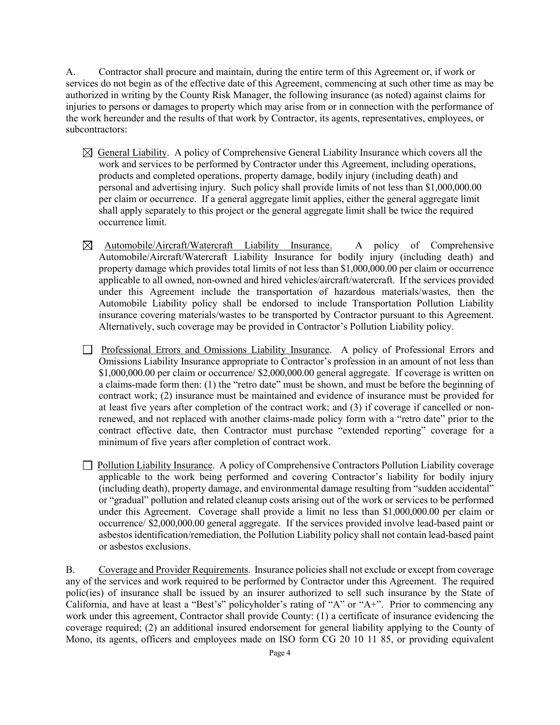A. Contractor shall procure and maintain, during the entire term of this Agreement or, if work or services do not begin as of the effective date of this Agreement, commencing at such other time as may be authorized in writing by the County Risk Manager, the following insurance (as noted) against claims for injuries to persons or damages to property which may arise from or in connection with the performance of the work hereunder and the results of that work by Contractor, its agents, representatives, employees, or subcontractors:

- $\boxtimes$  General Liability. A policy of Comprehensive General Liability Insurance which covers all the work and services to be performed by Contractor under this Agreement, including operations, products and completed operations, property damage, bodily injury (including death) and personal and advertising injury. Such policy shall provide limits of not less than \$1,000,000.00 per claim or occurrence. If a general aggregate limit applies, either the general aggregate limit shall apply separately to this project or the general aggregate limit shall be twice the required occurrence limit.
- $\boxtimes$  Automobile/Aircraft/Watercraft Liability Insurance. A policy of Comprehensive Automobile/Aircraft/Watercraft Liability Insurance for bodily injury (including death) and property damage which provides total limits of not less than \$1,000,000.00 per claim or occurrence applicable to all owned, non-owned and hired vehicles/aircraft/watercraft. If the services provided under this Agreement include the transportation of hazardous materials/wastes, then the Automobile Liability policy shall be endorsed to include Transportation Pollution Liability insurance covering materials/wastes to be transported by Contractor pursuant to this Agreement. Alternatively, such coverage may be provided in Contractor's Pollution Liability policy.
- Professional Errors and Omissions Liability Insurance. A policy of Professional Errors and Omissions Liability Insurance appropriate to Contractor's profession in an amount of not less than \$1,000,000.00 per claim or occurrence/ \$2,000,000.00 general aggregate. If coverage is written on a claims-made form then: (1) the "retro date" must be shown, and must be before the beginning of contract work; (2) insurance must be maintained and evidence of insurance must be provided for at least five years after completion of the contract work; and (3) if coverage if cancelled or nonrenewed, and not replaced with another claims-made policy form with a "retro date" prior to the contract effective date, then Contractor must purchase "extended reporting" coverage for a minimum of five years after completion of contract work.
- Pollution Liability Insurance. A policy of Comprehensive Contractors Pollution Liability coverage applicable to the work being performed and covering Contractor's liability for bodily injury (including death), property damage, and environmental damage resulting from "sudden accidental" or "gradual" pollution and related cleanup costs arising out of the work or services to be performed under this Agreement. Coverage shall provide a limit no less than \$1,000,000.00 per claim or occurrence/ \$2,000,000.00 general aggregate. If the services provided involve lead-based paint or asbestos identification/remediation, the Pollution Liability policy shall not contain lead-based paint or asbestos exclusions.

B. Coverage and Provider Requirements. Insurance policies shall not exclude or except from coverage any of the services and work required to be performed by Contractor under this Agreement. The required polic(ies) of insurance shall be issued by an insurer authorized to sell such insurance by the State of California, and have at least a "Best's" policyholder's rating of "A" or "A+". Prior to commencing any work under this agreement, Contractor shall provide County: (1) a certificate of insurance evidencing the coverage required; (2) an additional insured endorsement for general liability applying to the County of Mono, its agents, officers and employees made on ISO form CG 20 10 11 85, or providing equivalent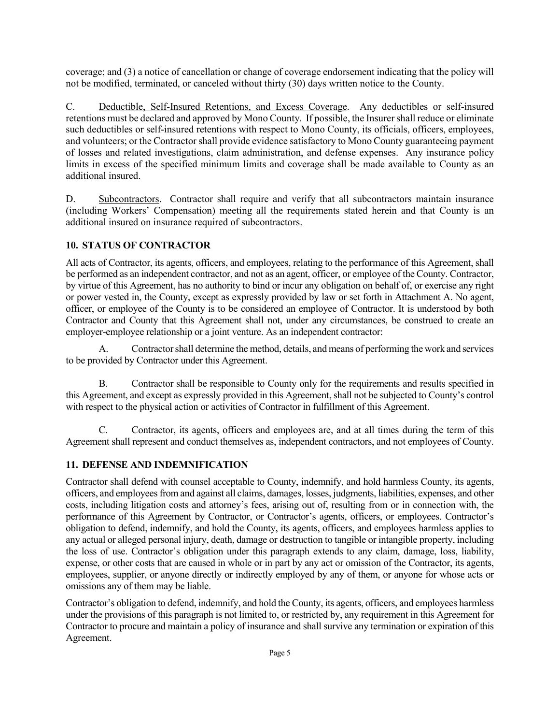coverage; and (3) a notice of cancellation or change of coverage endorsement indicating that the policy will not be modified, terminated, or canceled without thirty (30) days written notice to the County.

C. Deductible, Self-Insured Retentions, and Excess Coverage. Any deductibles or self-insured retentions must be declared and approved by Mono County. If possible, the Insurer shall reduce or eliminate such deductibles or self-insured retentions with respect to Mono County, its officials, officers, employees, and volunteers; or the Contractor shall provide evidence satisfactory to Mono County guaranteeing payment of losses and related investigations, claim administration, and defense expenses. Any insurance policy limits in excess of the specified minimum limits and coverage shall be made available to County as an additional insured.

D. Subcontractors. Contractor shall require and verify that all subcontractors maintain insurance (including Workers' Compensation) meeting all the requirements stated herein and that County is an additional insured on insurance required of subcontractors.

#### **10. STATUS OF CONTRACTOR**

All acts of Contractor, its agents, officers, and employees, relating to the performance of this Agreement, shall be performed as an independent contractor, and not as an agent, officer, or employee of the County. Contractor, by virtue of this Agreement, has no authority to bind or incur any obligation on behalf of, or exercise any right or power vested in, the County, except as expressly provided by law or set forth in Attachment A. No agent, officer, or employee of the County is to be considered an employee of Contractor. It is understood by both Contractor and County that this Agreement shall not, under any circumstances, be construed to create an employer-employee relationship or a joint venture. As an independent contractor:

A. Contractor shall determine the method, details, and means of performing the work and services to be provided by Contractor under this Agreement.

B. Contractor shall be responsible to County only for the requirements and results specified in this Agreement, and except as expressly provided in this Agreement, shall not be subjected to County's control with respect to the physical action or activities of Contractor in fulfillment of this Agreement.

C. Contractor, its agents, officers and employees are, and at all times during the term of this Agreement shall represent and conduct themselves as, independent contractors, and not employees of County.

#### **11. DEFENSE AND INDEMNIFICATION**

Contractor shall defend with counsel acceptable to County, indemnify, and hold harmless County, its agents, officers, and employees from and against all claims, damages, losses, judgments, liabilities, expenses, and other costs, including litigation costs and attorney's fees, arising out of, resulting from or in connection with, the performance of this Agreement by Contractor, or Contractor's agents, officers, or employees. Contractor's obligation to defend, indemnify, and hold the County, its agents, officers, and employees harmless applies to any actual or alleged personal injury, death, damage or destruction to tangible or intangible property, including the loss of use. Contractor's obligation under this paragraph extends to any claim, damage, loss, liability, expense, or other costs that are caused in whole or in part by any act or omission of the Contractor, its agents, employees, supplier, or anyone directly or indirectly employed by any of them, or anyone for whose acts or omissions any of them may be liable.

Contractor's obligation to defend, indemnify, and hold the County, its agents, officers, and employees harmless under the provisions of this paragraph is not limited to, or restricted by, any requirement in this Agreement for Contractor to procure and maintain a policy of insurance and shall survive any termination or expiration of this Agreement.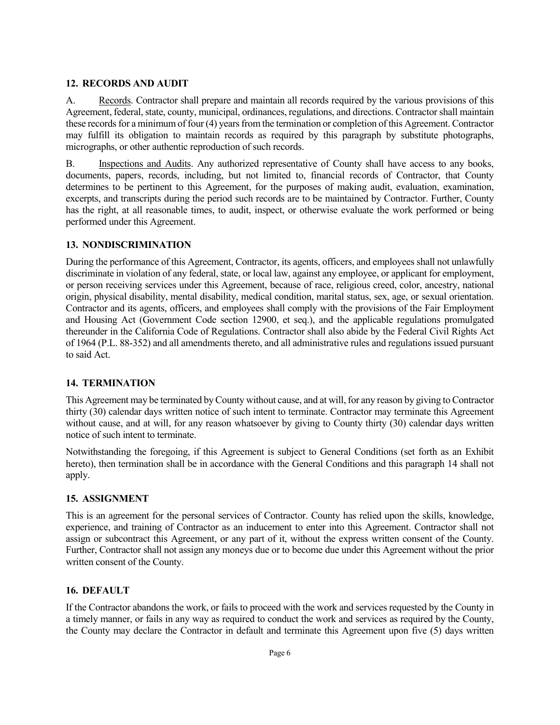#### **12. RECORDS AND AUDIT**

A. Records. Contractor shall prepare and maintain all records required by the various provisions of this Agreement, federal, state, county, municipal, ordinances, regulations, and directions. Contractor shall maintain these records for a minimum of four (4) years from the termination or completion of this Agreement. Contractor may fulfill its obligation to maintain records as required by this paragraph by substitute photographs, micrographs, or other authentic reproduction of such records.

B. Inspections and Audits. Any authorized representative of County shall have access to any books, documents, papers, records, including, but not limited to, financial records of Contractor, that County determines to be pertinent to this Agreement, for the purposes of making audit, evaluation, examination, excerpts, and transcripts during the period such records are to be maintained by Contractor. Further, County has the right, at all reasonable times, to audit, inspect, or otherwise evaluate the work performed or being performed under this Agreement.

#### **13. NONDISCRIMINATION**

During the performance of this Agreement, Contractor, its agents, officers, and employees shall not unlawfully discriminate in violation of any federal, state, or local law, against any employee, or applicant for employment, or person receiving services under this Agreement, because of race, religious creed, color, ancestry, national origin, physical disability, mental disability, medical condition, marital status, sex, age, or sexual orientation. Contractor and its agents, officers, and employees shall comply with the provisions of the Fair Employment and Housing Act (Government Code section 12900, et seq.), and the applicable regulations promulgated thereunder in the California Code of Regulations. Contractor shall also abide by the Federal Civil Rights Act of 1964 (P.L. 88-352) and all amendments thereto, and all administrative rules and regulations issued pursuant to said Act.

#### **14. TERMINATION**

This Agreement may be terminated by County without cause, and at will, for any reason by giving to Contractor thirty (30) calendar days written notice of such intent to terminate. Contractor may terminate this Agreement without cause, and at will, for any reason whatsoever by giving to County thirty (30) calendar days written notice of such intent to terminate.

Notwithstanding the foregoing, if this Agreement is subject to General Conditions (set forth as an Exhibit hereto), then termination shall be in accordance with the General Conditions and this paragraph 14 shall not apply.

#### **15. ASSIGNMENT**

This is an agreement for the personal services of Contractor. County has relied upon the skills, knowledge, experience, and training of Contractor as an inducement to enter into this Agreement. Contractor shall not assign or subcontract this Agreement, or any part of it, without the express written consent of the County. Further, Contractor shall not assign any moneys due or to become due under this Agreement without the prior written consent of the County.

#### **16. DEFAULT**

If the Contractor abandons the work, or fails to proceed with the work and services requested by the County in a timely manner, or fails in any way as required to conduct the work and services as required by the County, the County may declare the Contractor in default and terminate this Agreement upon five (5) days written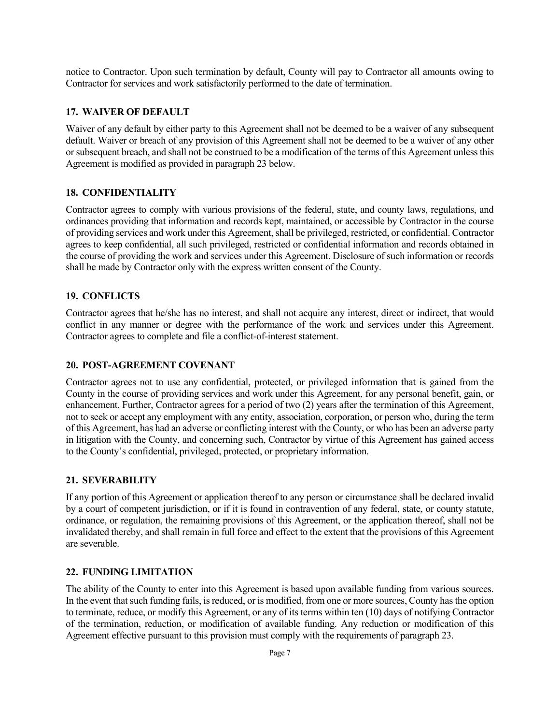notice to Contractor. Upon such termination by default, County will pay to Contractor all amounts owing to Contractor for services and work satisfactorily performed to the date of termination.

#### **17. WAIVER OF DEFAULT**

Waiver of any default by either party to this Agreement shall not be deemed to be a waiver of any subsequent default. Waiver or breach of any provision of this Agreement shall not be deemed to be a waiver of any other or subsequent breach, and shall not be construed to be a modification of the terms of this Agreement unless this Agreement is modified as provided in paragraph 23 below.

#### **18. CONFIDENTIALITY**

Contractor agrees to comply with various provisions of the federal, state, and county laws, regulations, and ordinances providing that information and records kept, maintained, or accessible by Contractor in the course of providing services and work under this Agreement, shall be privileged, restricted, or confidential. Contractor agrees to keep confidential, all such privileged, restricted or confidential information and records obtained in the course of providing the work and services under this Agreement. Disclosure of such information or records shall be made by Contractor only with the express written consent of the County.

#### **19. CONFLICTS**

Contractor agrees that he/she has no interest, and shall not acquire any interest, direct or indirect, that would conflict in any manner or degree with the performance of the work and services under this Agreement. Contractor agrees to complete and file a conflict-of-interest statement.

#### **20. POST-AGREEMENT COVENANT**

Contractor agrees not to use any confidential, protected, or privileged information that is gained from the County in the course of providing services and work under this Agreement, for any personal benefit, gain, or enhancement. Further, Contractor agrees for a period of two (2) years after the termination of this Agreement, not to seek or accept any employment with any entity, association, corporation, or person who, during the term of this Agreement, has had an adverse or conflicting interest with the County, or who has been an adverse party in litigation with the County, and concerning such, Contractor by virtue of this Agreement has gained access to the County's confidential, privileged, protected, or proprietary information.

#### **21. SEVERABILITY**

If any portion of this Agreement or application thereof to any person or circumstance shall be declared invalid by a court of competent jurisdiction, or if it is found in contravention of any federal, state, or county statute, ordinance, or regulation, the remaining provisions of this Agreement, or the application thereof, shall not be invalidated thereby, and shall remain in full force and effect to the extent that the provisions of this Agreement are severable.

#### **22. FUNDING LIMITATION**

The ability of the County to enter into this Agreement is based upon available funding from various sources. In the event that such funding fails, is reduced, or is modified, from one or more sources, County has the option to terminate, reduce, or modify this Agreement, or any of its terms within ten (10) days of notifying Contractor of the termination, reduction, or modification of available funding. Any reduction or modification of this Agreement effective pursuant to this provision must comply with the requirements of paragraph 23.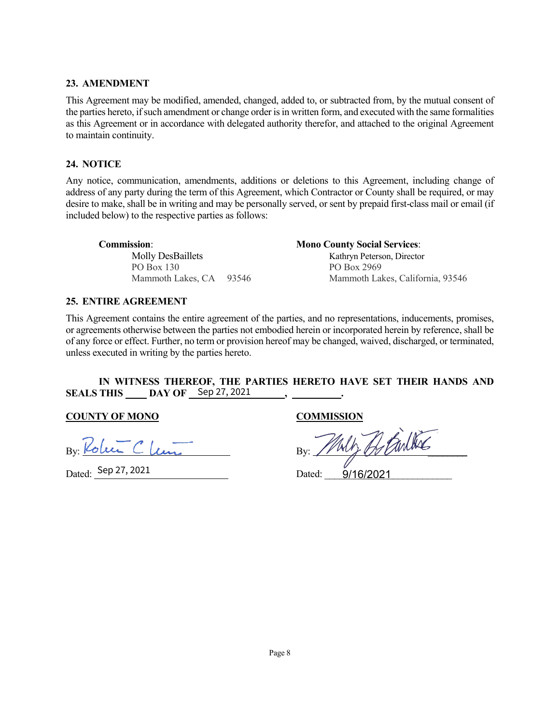#### **23. AMENDMENT**

This Agreement may be modified, amended, changed, added to, or subtracted from, by the mutual consent of the parties hereto, if such amendment or change order is in written form, and executed with the same formalities as this Agreement or in accordance with delegated authority therefor, and attached to the original Agreement to maintain continuity.

#### **24. NOTICE**

Any notice, communication, amendments, additions or deletions to this Agreement, including change of address of any party during the term of this Agreement, which Contractor or County shall be required, or may desire to make, shall be in writing and may be personally served, or sent by prepaid first-class mail or email (if included below) to the respective parties as follows:

| <b>Commission:</b>       | <b>Mono County Social Services:</b> |
|--------------------------|-------------------------------------|
| <b>Molly DesBaillets</b> | Kathryn Peterson, Director          |
| PO Box 130               | PO Box 2969                         |
| Mammoth Lakes, CA 93546  | Mammoth Lakes, California, 93546    |

#### **25. ENTIRE AGREEMENT**

This Agreement contains the entire agreement of the parties, and no representations, inducements, promises, or agreements otherwise between the parties not embodied herein or incorporated herein by reference, shall be of any force or effect. Further, no term or provision hereof may be changed, waived, discharged, or terminated, unless executed in writing by the parties hereto.

#### **IN WITNESS THEREOF, THE PARTIES HERETO HAVE SET THEIR HANDS AND SEALS THIS DAY OF , .**  Sep 27, 2021

#### **COUNTY OF MONO COMMISSION**

KoluiClem Bv.

Dated: Dated: \_\_\_\_\_\_\_\_\_\_\_\_\_\_\_\_\_\_\_\_\_\_\_\_\_\_ 9/16/2021 Sep 27, 2021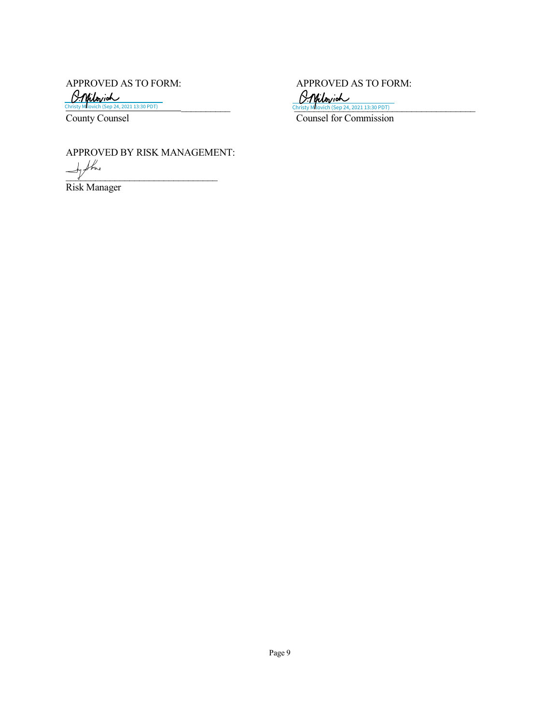APPROVED AS TO FORM:<br>  $\frac{\beta \cdot \gamma}{\beta \cdot \gamma} = \frac{\beta \cdot \gamma}{\beta \cdot \gamma}$ <br>
Christy Mlovich (Sep 24, 2021 13:30 PDT)

Christy Mllovich (Sep 24, 2021 13:30 PDT) Christy Mllovich (Sep 24, 2021 13:30 PDT) Christy Mllovich (Sep 24, 2021 13:30 PDT)



County Counsel Counsel Counsel Counsel Counsel Counsel of Commission

APPROVED BY RISK MANAGEMENT:

 $\overline{\phantom{a}}$ 

Risk Manager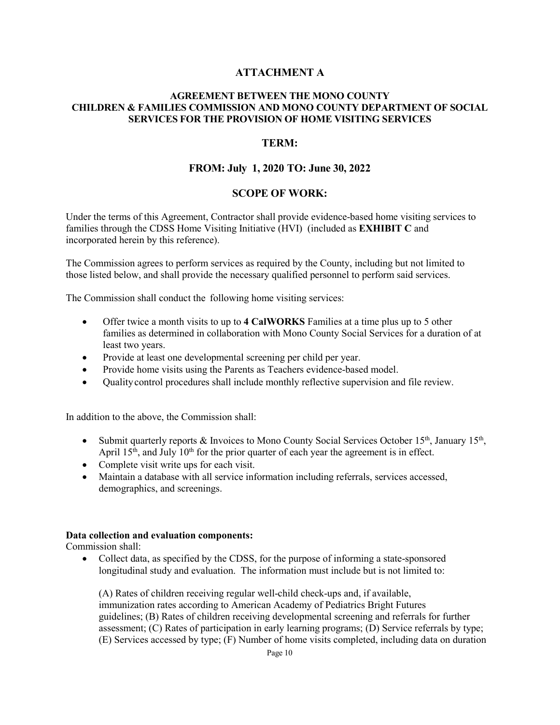#### **ATTACHMENT A**

#### **AGREEMENT BETWEEN THE MONO COUNTY CHILDREN & FAMILIES COMMISSION AND MONO COUNTY DEPARTMENT OF SOCIAL SERVICES FOR THE PROVISION OF HOME VISITING SERVICES**

#### **TERM:**

#### **FROM: July 1, 2020 TO: June 30, 2022**

#### **SCOPE OF WORK:**

Under the terms of this Agreement, Contractor shall provide evidence-based home visiting services to families through the CDSS Home Visiting Initiative (HVI) (included as **EXHIBIT C** and incorporated herein by this reference).

The Commission agrees to perform services as required by the County, including but not limited to those listed below, and shall provide the necessary qualified personnel to perform said services.

The Commission shall conduct the following home visiting services:

- Offer twice a month visits to up to **4 CalWORKS** Families at a time plus up to 5 other families as determined in collaboration with Mono County Social Services for a duration of at least two years.
- Provide at least one developmental screening per child per year.
- Provide home visits using the Parents as Teachers evidence-based model.
- Quality control procedures shall include monthly reflective supervision and file review.

In addition to the above, the Commission shall:

- Submit quarterly reports & Invoices to Mono County Social Services October 15<sup>th</sup>, January 15<sup>th</sup>, April  $15<sup>th</sup>$ , and July  $10<sup>th</sup>$  for the prior quarter of each year the agreement is in effect.
- Complete visit write ups for each visit.
- Maintain a database with all service information including referrals, services accessed, demographics, and screenings.

#### **Data collection and evaluation components:**

Commission shall:

• Collect data, as specified by the CDSS, for the purpose of informing a state-sponsored longitudinal study and evaluation. The information must include but is not limited to:

(A) Rates of children receiving regular well-child check-ups and, if available, immunization rates according to American Academy of Pediatrics Bright Futures guidelines; (B) Rates of children receiving developmental screening and referrals for further assessment; (C) Rates of participation in early learning programs; (D) Service referrals by type; (E) Services accessed by type; (F) Number of home visits completed, including data on duration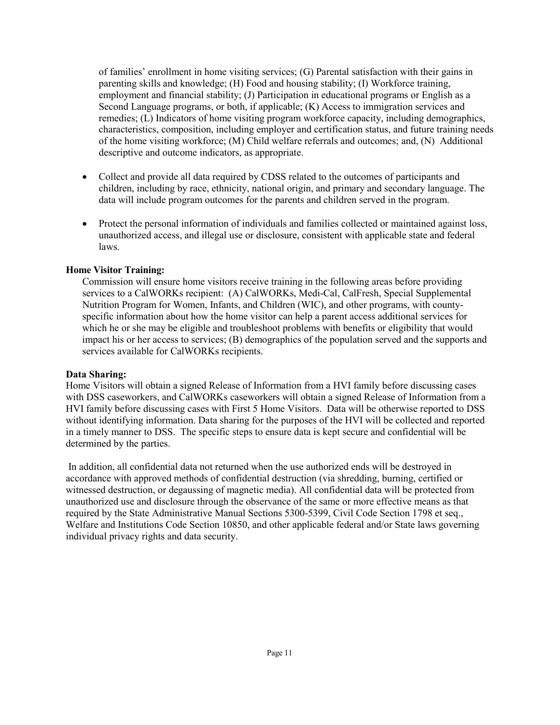of families' enrollment in home visiting services; (G) Parental satisfaction with their gains in parenting skills and knowledge; (H) Food and housing stability; (I) Workforce training, employment and financial stability; (J) Participation in educational programs or English as a Second Language programs, or both, if applicable; (K) Access to immigration services and remedies; (L) Indicators of home visiting program workforce capacity, including demographics, characteristics, composition, including employer and certification status, and future training needs of the home visiting workforce; (M) Child welfare referrals and outcomes; and, (N) Additional descriptive and outcome indicators, as appropriate.

- Collect and provide all data required by CDSS related to the outcomes of participants and children, including by race, ethnicity, national origin, and primary and secondary language. The data will include program outcomes for the parents and children served in the program.
- Protect the personal information of individuals and families collected or maintained against loss, unauthorized access, and illegal use or disclosure, consistent with applicable state and federal laws.

#### **Home Visitor Training:**

Commission will ensure home visitors receive training in the following areas before providing services to a CalWORKs recipient: (A) CalWORKs, Medi-Cal, CalFresh, Special Supplemental Nutrition Program for Women, Infants, and Children (WIC), and other programs, with countyspecific information about how the home visitor can help a parent access additional services for which he or she may be eligible and troubleshoot problems with benefits or eligibility that would impact his or her access to services; (B) demographics of the population served and the supports and services available for CalWORKs recipients.

#### **Data Sharing:**

Home Visitors will obtain a signed Release of Information from a HVI family before discussing cases with DSS caseworkers, and CalWORKs caseworkers will obtain a signed Release of Information from a HVI family before discussing cases with First 5 Home Visitors. Data will be otherwise reported to DSS without identifying information. Data sharing for the purposes of the HVI will be collected and reported in a timely manner to DSS. The specific steps to ensure data is kept secure and confidential will be determined by the parties.

In addition, all confidential data not returned when the use authorized ends will be destroyed in accordance with approved methods of confidential destruction (via shredding, burning, certified or witnessed destruction, or degaussing of magnetic media). All confidential data will be protected from unauthorized use and disclosure through the observance of the same or more effective means as that required by the State Administrative Manual Sections 5300-5399, Civil Code Section 1798 et seq., Welfare and Institutions Code Section 10850, and other applicable federal and/or State laws governing individual privacy rights and data security.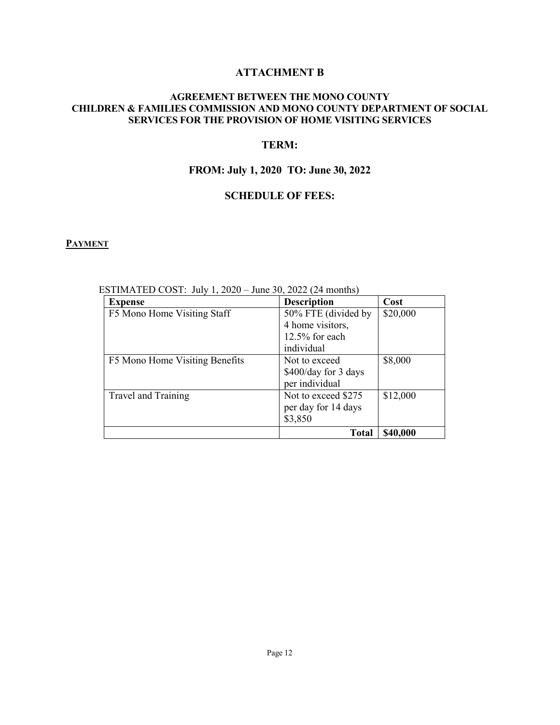### **ATTACHMENT B**

#### **AGREEMENT BETWEEN THE MONO COUNTY CHILDREN & FAMILIES COMMISSION AND MONO COUNTY DEPARTMENT OF SOCIAL SERVICES FOR THE PROVISION OF HOME VISITING SERVICES**

#### **TERM:**

### **FROM: July 1, 2020 TO: June 30, 2022**

#### **SCHEDULE OF FEES:**

#### **PAYMENT**

| <b>Expense</b>                 | <b>Description</b>                                                         | Cost     |
|--------------------------------|----------------------------------------------------------------------------|----------|
| F5 Mono Home Visiting Staff    | 50% FTE (divided by<br>4 home visitors,<br>$12.5\%$ for each<br>individual | \$20,000 |
| F5 Mono Home Visiting Benefits | Not to exceed<br>\$400/day for 3 days<br>per individual                    | \$8,000  |
| Travel and Training            | Not to exceed \$275<br>per day for 14 days<br>\$3,850                      | \$12,000 |
|                                | <b>Total</b>                                                               | \$40,000 |

ESTIMATED COST: July 1, 2020 – June 30, 2022 (24 months)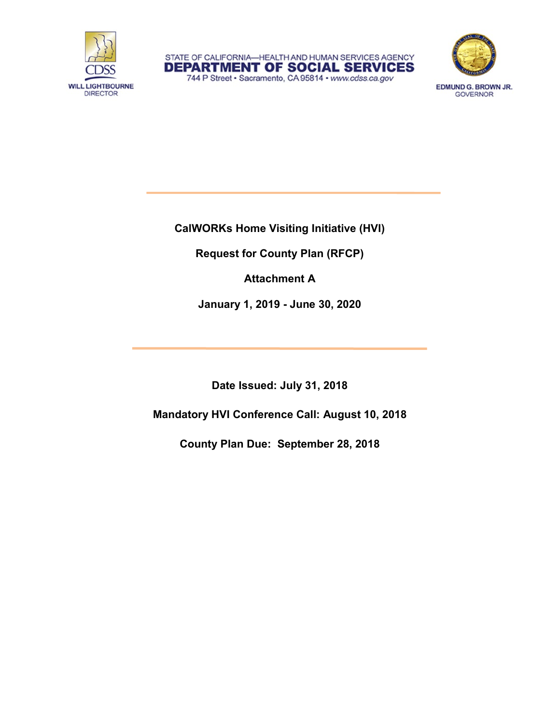





EDMUND G. BROWN JR. **GOVERNOR** 

**CalWORKs Home Visiting Initiative (HVI)**

**Request for County Plan (RFCP)**

**Attachment A**

**January 1, 2019 - June 30, 2020**

**Date Issued: July 31, 2018**

**Mandatory HVI Conference Call: August 10, 2018**

**County Plan Due: September 28, 2018**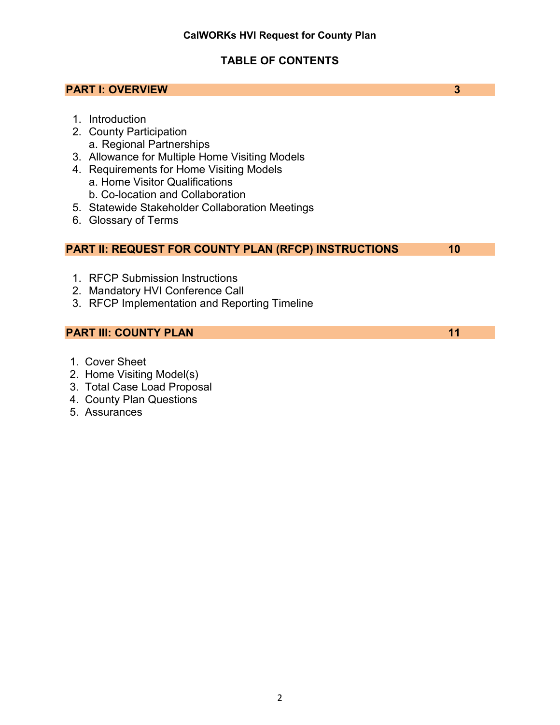### **TABLE OF CONTENTS**

# **PART I: OVERVIEW 3** 1. Introduction 2. County Participation a. Regional Partnerships 3. Allowance for Multiple Home Visiting Models 4. Requirements for Home Visiting Models a. Home Visitor Qualifications b. Co-location and Collaboration 5. Statewide Stakeholder Collaboration Meetings 6. Glossary of Terms **PART II: REQUEST FOR COUNTY PLAN (RFCP) INSTRUCTIONS 10** 1. RFCP Submission Instructions 2. Mandatory HVI Conference Call 3. RFCP Implementation and Reporting Timeline **PART III: COUNTY PLAN 11** 1. Cover Sheet

- 2. Home Visiting Model(s)
- 3. Total Case Load Proposal
- 4. County Plan Questions
- 5. Assurances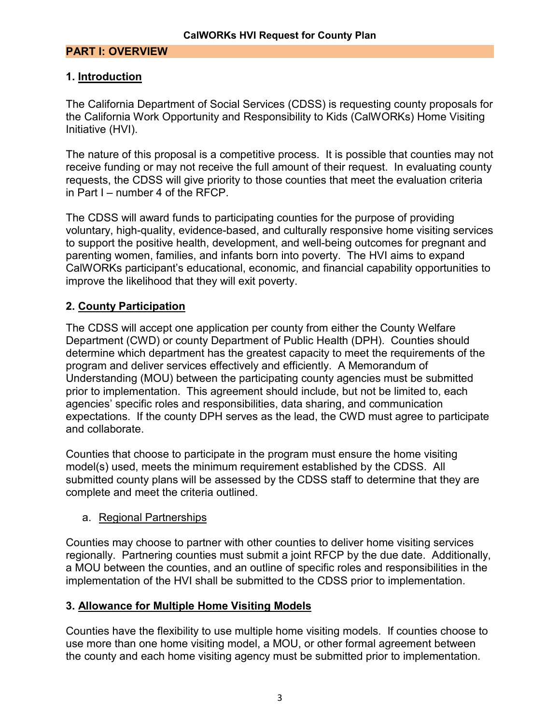### **PART I: OVERVIEW**

### **1. Introduction**

The California Department of Social Services (CDSS) is requesting county proposals for the California Work Opportunity and Responsibility to Kids (CalWORKs) Home Visiting Initiative (HVI).

The nature of this proposal is a competitive process. It is possible that counties may not receive funding or may not receive the full amount of their request. In evaluating county requests, the CDSS will give priority to those counties that meet the evaluation criteria in Part I – number 4 of the RFCP.

The CDSS will award funds to participating counties for the purpose of providing voluntary, high-quality, evidence-based, and culturally responsive home visiting services to support the positive health, development, and well-being outcomes for pregnant and parenting women, families, and infants born into poverty. The HVI aims to expand CalWORKs participant's educational, economic, and financial capability opportunities to improve the likelihood that they will exit poverty.

### **2. County Participation**

The CDSS will accept one application per county from either the County Welfare Department (CWD) or county Department of Public Health (DPH). Counties should determine which department has the greatest capacity to meet the requirements of the program and deliver services effectively and efficiently. A Memorandum of Understanding (MOU) between the participating county agencies must be submitted prior to implementation. This agreement should include, but not be limited to, each agencies' specific roles and responsibilities, data sharing, and communication expectations. If the county DPH serves as the lead, the CWD must agree to participate and collaborate.

Counties that choose to participate in the program must ensure the home visiting model(s) used, meets the minimum requirement established by the CDSS. All submitted county plans will be assessed by the CDSS staff to determine that they are complete and meet the criteria outlined.

### a. Regional Partnerships

Counties may choose to partner with other counties to deliver home visiting services regionally. Partnering counties must submit a joint RFCP by the due date. Additionally, a MOU between the counties, and an outline of specific roles and responsibilities in the implementation of the HVI shall be submitted to the CDSS prior to implementation.

### **3. Allowance for Multiple Home Visiting Models**

Counties have the flexibility to use multiple home visiting models. If counties choose to use more than one home visiting model, a MOU, or other formal agreement between the county and each home visiting agency must be submitted prior to implementation.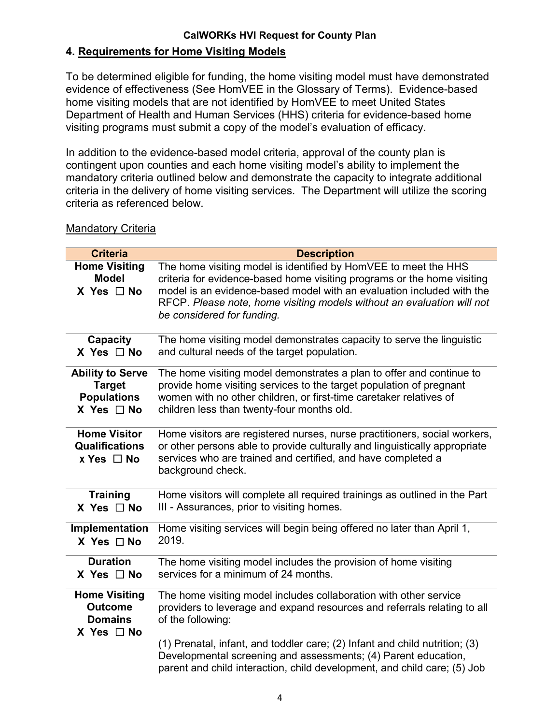### **4. Requirements for Home Visiting Models**

To be determined eligible for funding, the home visiting model must have demonstrated evidence of effectiveness (See HomVEE in the Glossary of Terms). Evidence-based home visiting models that are not identified by HomVEE to meet United States Department of Health and Human Services (HHS) criteria for evidence-based home visiting programs must submit a copy of the model's evaluation of efficacy.

In addition to the evidence-based model criteria, approval of the county plan is contingent upon counties and each home visiting model's ability to implement the mandatory criteria outlined below and demonstrate the capacity to integrate additional criteria in the delivery of home visiting services. The Department will utilize the scoring criteria as referenced below.

#### **Criteria Description Home Visiting Model X Yes** ☐ **No** The home visiting model is identified by HomVEE to meet the HHS criteria for evidence-based home visiting programs or the home visiting model is an evidence-based model with an evaluation included with the RFCP. *Please note, home visiting models without an evaluation will not be considered for funding.* **Capacity X Yes** ☐ **No** The home visiting model demonstrates capacity to serve the linguistic and cultural needs of the target population. **Ability to Serve Target Populations X Yes** ☐ **No** The home visiting model demonstrates a plan to offer and continue to provide home visiting services to the target population of pregnant women with no other children, or first-time caretaker relatives of children less than twenty-four months old. **Home Visitor Qualifications** x **Yes** ☐ **No** Home visitors are registered nurses, nurse practitioners, social workers, or other persons able to provide culturally and linguistically appropriate services who are trained and certified, and have completed a background check. **Training X Yes** ☐ **No** Home visitors will complete all required trainings as outlined in the Part III - Assurances, prior to visiting homes. **Implementation X Yes** ☐ **No** Home visiting services will begin being offered no later than April 1, 2019. **Duration X Yes** ☐ **No** The home visiting model includes the provision of home visiting services for a minimum of 24 months. **Home Visiting Outcome Domains X Yes** ☐ **No**  The home visiting model includes collaboration with other service providers to leverage and expand resources and referrals relating to all of the following: (1) Prenatal, infant, and toddler care; (2) Infant and child nutrition; (3) Developmental screening and assessments; (4) Parent education, parent and child interaction, child development, and child care; (5) Job

### Mandatory Criteria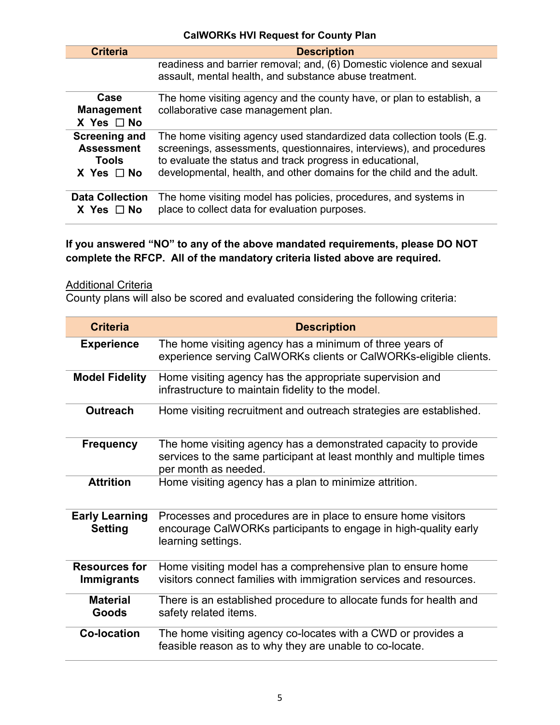| <b>Criteria</b>                                                         | <b>Description</b>                                                                                                                                                                                                                                                                   |
|-------------------------------------------------------------------------|--------------------------------------------------------------------------------------------------------------------------------------------------------------------------------------------------------------------------------------------------------------------------------------|
|                                                                         | readiness and barrier removal; and, (6) Domestic violence and sexual<br>assault, mental health, and substance abuse treatment.                                                                                                                                                       |
| Case<br><b>Management</b><br>$X$ Yes $\Box$ No                          | The home visiting agency and the county have, or plan to establish, a<br>collaborative case management plan.                                                                                                                                                                         |
| <b>Screening and</b><br><b>Assessment</b><br>Tools<br>$X$ Yes $\Box$ No | The home visiting agency used standardized data collection tools (E.g.<br>screenings, assessments, questionnaires, interviews), and procedures<br>to evaluate the status and track progress in educational,<br>developmental, health, and other domains for the child and the adult. |
| <b>Data Collection</b><br>$X$ Yes $\Box$ No                             | The home visiting model has policies, procedures, and systems in<br>place to collect data for evaluation purposes.                                                                                                                                                                   |

### **If you answered "NO" to any of the above mandated requirements, please DO NOT complete the RFCP. All of the mandatory criteria listed above are required.**

### **Additional Criteria**

County plans will also be scored and evaluated considering the following criteria:

| <b>Criteria</b>                           | <b>Description</b>                                                                                                                                              |
|-------------------------------------------|-----------------------------------------------------------------------------------------------------------------------------------------------------------------|
| <b>Experience</b>                         | The home visiting agency has a minimum of three years of<br>experience serving CalWORKs clients or CalWORKs-eligible clients.                                   |
| <b>Model Fidelity</b>                     | Home visiting agency has the appropriate supervision and<br>infrastructure to maintain fidelity to the model.                                                   |
| <b>Outreach</b>                           | Home visiting recruitment and outreach strategies are established.                                                                                              |
| <b>Frequency</b>                          | The home visiting agency has a demonstrated capacity to provide<br>services to the same participant at least monthly and multiple times<br>per month as needed. |
| <b>Attrition</b>                          | Home visiting agency has a plan to minimize attrition.                                                                                                          |
| <b>Early Learning</b><br><b>Setting</b>   | Processes and procedures are in place to ensure home visitors<br>encourage CalWORKs participants to engage in high-quality early<br>learning settings.          |
| <b>Resources for</b><br><b>Immigrants</b> | Home visiting model has a comprehensive plan to ensure home<br>visitors connect families with immigration services and resources.                               |
| <b>Material</b><br>Goods                  | There is an established procedure to allocate funds for health and<br>safety related items.                                                                     |
| <b>Co-location</b>                        | The home visiting agency co-locates with a CWD or provides a<br>feasible reason as to why they are unable to co-locate.                                         |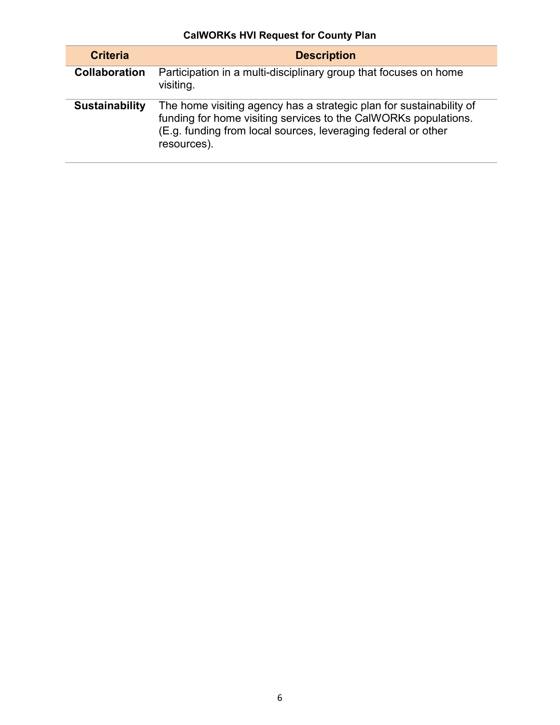| <b>CalWORKs HVI Request for County Plan</b> |  |  |  |  |  |
|---------------------------------------------|--|--|--|--|--|
|---------------------------------------------|--|--|--|--|--|

| <b>Criteria</b>       | <b>Description</b>                                                                                                                                                                                                     |
|-----------------------|------------------------------------------------------------------------------------------------------------------------------------------------------------------------------------------------------------------------|
| <b>Collaboration</b>  | Participation in a multi-disciplinary group that focuses on home<br>visiting.                                                                                                                                          |
| <b>Sustainability</b> | The home visiting agency has a strategic plan for sustainability of<br>funding for home visiting services to the CalWORKs populations.<br>(E.g. funding from local sources, leveraging federal or other<br>resources). |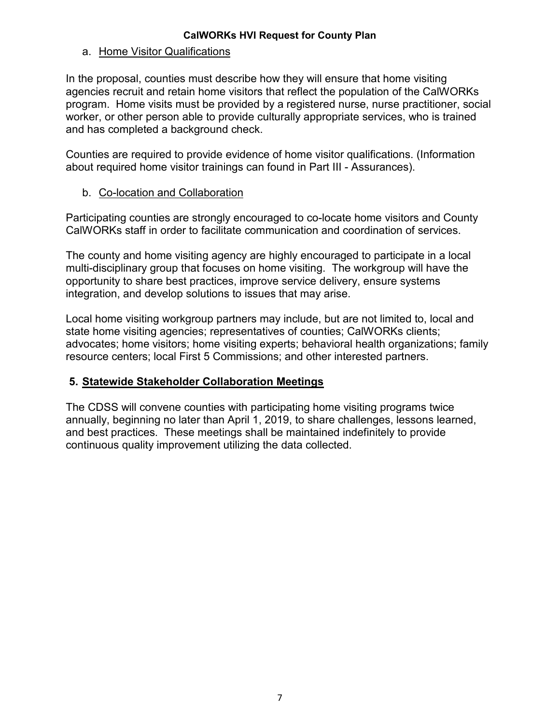### a. Home Visitor Qualifications

In the proposal, counties must describe how they will ensure that home visiting agencies recruit and retain home visitors that reflect the population of the CalWORKs program. Home visits must be provided by a registered nurse, nurse practitioner, social worker, or other person able to provide culturally appropriate services, who is trained and has completed a background check.

Counties are required to provide evidence of home visitor qualifications. (Information about required home visitor trainings can found in Part III - Assurances).

### b. Co-location and Collaboration

Participating counties are strongly encouraged to co-locate home visitors and County CalWORKs staff in order to facilitate communication and coordination of services.

The county and home visiting agency are highly encouraged to participate in a local multi-disciplinary group that focuses on home visiting. The workgroup will have the opportunity to share best practices, improve service delivery, ensure systems integration, and develop solutions to issues that may arise.

Local home visiting workgroup partners may include, but are not limited to, local and state home visiting agencies; representatives of counties; CalWORKs clients; advocates; home visitors; home visiting experts; behavioral health organizations; family resource centers; local First 5 Commissions; and other interested partners.

### **5. Statewide Stakeholder Collaboration Meetings**

The CDSS will convene counties with participating home visiting programs twice annually, beginning no later than April 1, 2019, to share challenges, lessons learned, and best practices. These meetings shall be maintained indefinitely to provide continuous quality improvement utilizing the data collected.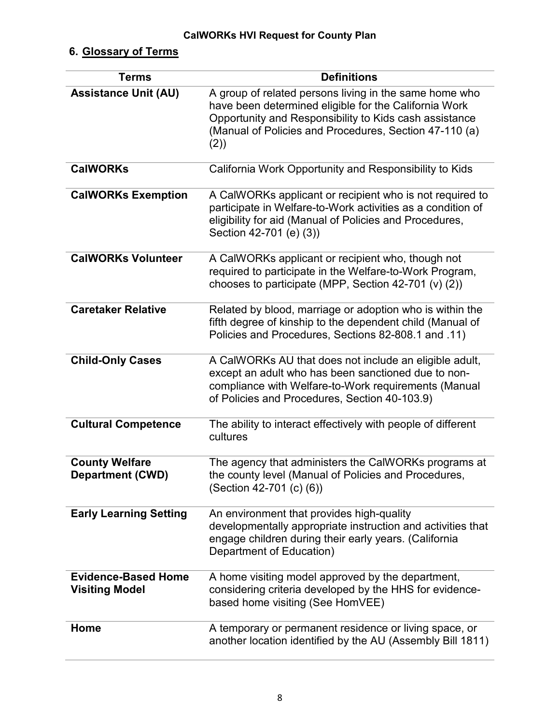## **6. Glossary of Terms**

| <b>Terms</b>                                        | <b>Definitions</b>                                                                                                                                                                                                                         |
|-----------------------------------------------------|--------------------------------------------------------------------------------------------------------------------------------------------------------------------------------------------------------------------------------------------|
| <b>Assistance Unit (AU)</b>                         | A group of related persons living in the same home who<br>have been determined eligible for the California Work<br>Opportunity and Responsibility to Kids cash assistance<br>(Manual of Policies and Procedures, Section 47-110 (a)<br>(2) |
| <b>CalWORKs</b>                                     | California Work Opportunity and Responsibility to Kids                                                                                                                                                                                     |
| <b>CalWORKs Exemption</b>                           | A CalWORKs applicant or recipient who is not required to<br>participate in Welfare-to-Work activities as a condition of<br>eligibility for aid (Manual of Policies and Procedures,<br>Section 42-701 (e) (3))                              |
| <b>CalWORKs Volunteer</b>                           | A CalWORKs applicant or recipient who, though not<br>required to participate in the Welfare-to-Work Program,<br>chooses to participate (MPP, Section 42-701 (v) $(2)$ )                                                                    |
| <b>Caretaker Relative</b>                           | Related by blood, marriage or adoption who is within the<br>fifth degree of kinship to the dependent child (Manual of<br>Policies and Procedures, Sections 82-808.1 and .11)                                                               |
| <b>Child-Only Cases</b>                             | A CalWORKs AU that does not include an eligible adult,<br>except an adult who has been sanctioned due to non-<br>compliance with Welfare-to-Work requirements (Manual<br>of Policies and Procedures, Section 40-103.9)                     |
| <b>Cultural Competence</b>                          | The ability to interact effectively with people of different<br>cultures                                                                                                                                                                   |
| <b>County Welfare</b><br><b>Department (CWD)</b>    | The agency that administers the CalWORKs programs at<br>the county level (Manual of Policies and Procedures,<br>(Section 42-701 (c) (6))                                                                                                   |
| <b>Early Learning Setting</b>                       | An environment that provides high-quality<br>developmentally appropriate instruction and activities that<br>engage children during their early years. (California<br>Department of Education)                                              |
| <b>Evidence-Based Home</b><br><b>Visiting Model</b> | A home visiting model approved by the department,<br>considering criteria developed by the HHS for evidence-<br>based home visiting (See HomVEE)                                                                                           |
| Home                                                | A temporary or permanent residence or living space, or<br>another location identified by the AU (Assembly Bill 1811)                                                                                                                       |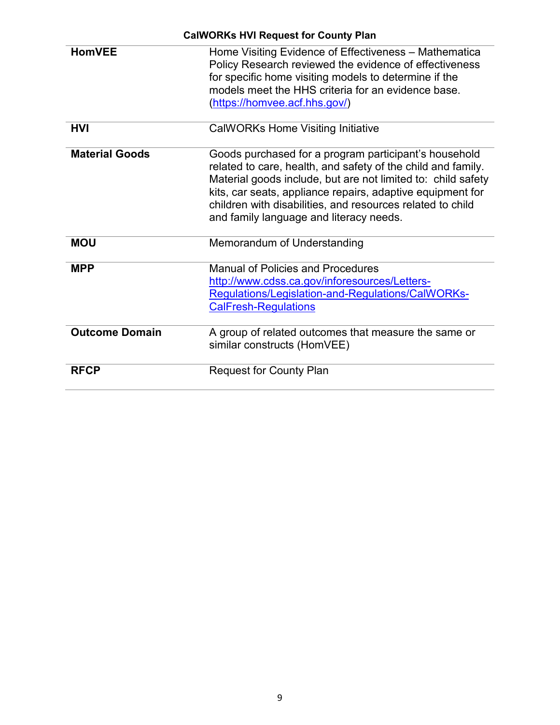|                       | <b>CalWORKs HVI Request for County Plan</b>                                                                                                                                                                                                                                                                                                                  |
|-----------------------|--------------------------------------------------------------------------------------------------------------------------------------------------------------------------------------------------------------------------------------------------------------------------------------------------------------------------------------------------------------|
| <b>HomVEE</b>         | Home Visiting Evidence of Effectiveness - Mathematica<br>Policy Research reviewed the evidence of effectiveness<br>for specific home visiting models to determine if the<br>models meet the HHS criteria for an evidence base.<br>(https://homvee.acf.hhs.gov/)                                                                                              |
| <b>HVI</b>            | <b>CalWORKs Home Visiting Initiative</b>                                                                                                                                                                                                                                                                                                                     |
| <b>Material Goods</b> | Goods purchased for a program participant's household<br>related to care, health, and safety of the child and family.<br>Material goods include, but are not limited to: child safety<br>kits, car seats, appliance repairs, adaptive equipment for<br>children with disabilities, and resources related to child<br>and family language and literacy needs. |
| <b>MOU</b>            | Memorandum of Understanding                                                                                                                                                                                                                                                                                                                                  |
| <b>MPP</b>            | <b>Manual of Policies and Procedures</b><br>http://www.cdss.ca.gov/inforesources/Letters-<br>Regulations/Legislation-and-Regulations/CalWORKs-<br><b>CalFresh-Regulations</b>                                                                                                                                                                                |
| <b>Outcome Domain</b> | A group of related outcomes that measure the same or<br>similar constructs (HomVEE)                                                                                                                                                                                                                                                                          |
| <b>RFCP</b>           | <b>Request for County Plan</b>                                                                                                                                                                                                                                                                                                                               |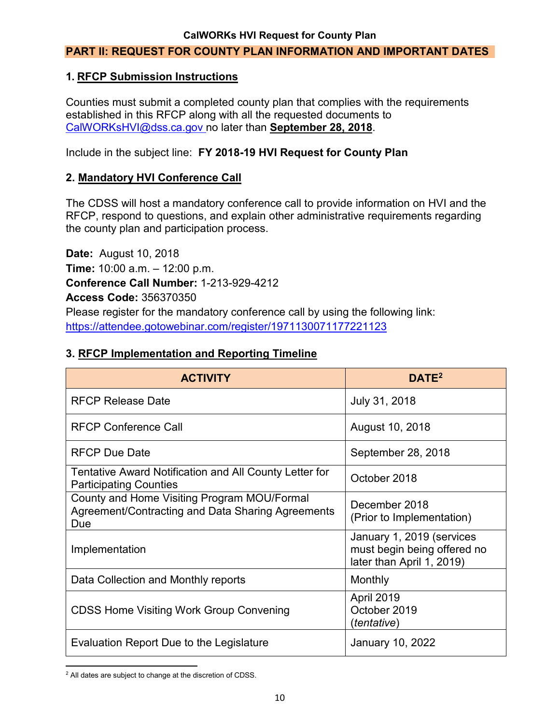### **PART II: REQUEST FOR COUNTY PLAN INFORMATION AND IMPORTANT DATES**

### **1. RFCP Submission Instructions**

Counties must submit a completed county plan that complies with the requirements established in this RFCP along with all the requested documents to CalWORKsHVI@dss.ca.gov no later than **September 28, 2018**.

Include in the subject line: **FY 2018-19 HVI Request for County Plan**

### **2. Mandatory HVI Conference Call**

The CDSS will host a mandatory conference call to provide information on HVI and the RFCP, respond to questions, and explain other administrative requirements regarding the county plan and participation process.

**Date:** August 10, 2018 **Time:** 10:00 a.m. – 12:00 p.m. **Conference Call Number:** 1-213-929-4212 **Access Code:** 356370350 Please register for the mandatory conference call by using the following link: https://attendee.gotowebinar.com/register/1971130071177221123

### **3. RFCP Implementation and Reporting Timeline**

| <b>ACTIVITY</b>                                                                                         | DATE <sup>2</sup>                                                                     |
|---------------------------------------------------------------------------------------------------------|---------------------------------------------------------------------------------------|
| <b>RFCP Release Date</b>                                                                                | July 31, 2018                                                                         |
| <b>RFCP Conference Call</b>                                                                             | August 10, 2018                                                                       |
| <b>RFCP Due Date</b>                                                                                    | September 28, 2018                                                                    |
| Tentative Award Notification and All County Letter for<br><b>Participating Counties</b>                 | October 2018                                                                          |
| County and Home Visiting Program MOU/Formal<br>Agreement/Contracting and Data Sharing Agreements<br>Due | December 2018<br>(Prior to Implementation)                                            |
| Implementation                                                                                          | January 1, 2019 (services<br>must begin being offered no<br>later than April 1, 2019) |
| Data Collection and Monthly reports                                                                     | Monthly                                                                               |
| CDSS Home Visiting Work Group Convening                                                                 | April 2019<br>October 2019<br>(tentative)                                             |
| Evaluation Report Due to the Legislature                                                                | <b>January 10, 2022</b>                                                               |

l  $^2$  All dates are subject to change at the discretion of CDSS.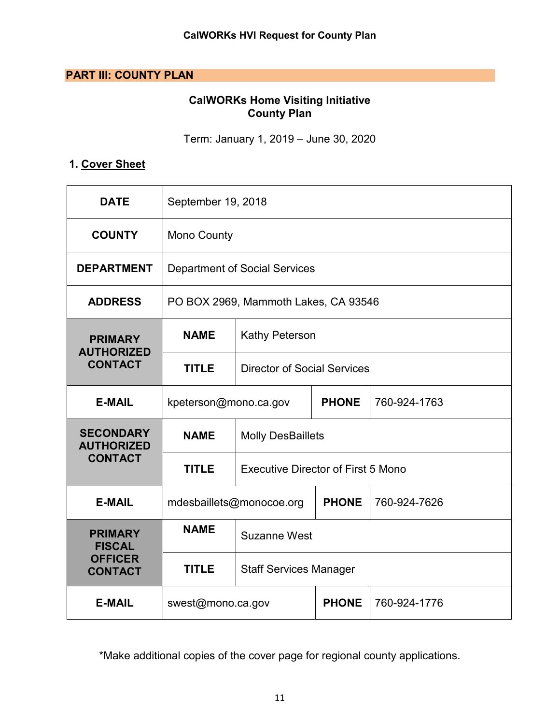### **PART III: COUNTY PLAN**

### **CalWORKs Home Visiting Initiative County Plan**

Term: January 1, 2019 – June 30, 2020

## **1. Cover Sheet**

| <b>DATE</b>                           | September 19, 2018                   |                                                          |  |  |  |
|---------------------------------------|--------------------------------------|----------------------------------------------------------|--|--|--|
| <b>COUNTY</b>                         | <b>Mono County</b>                   |                                                          |  |  |  |
| <b>DEPARTMENT</b>                     |                                      | <b>Department of Social Services</b>                     |  |  |  |
| <b>ADDRESS</b>                        |                                      | PO BOX 2969, Mammoth Lakes, CA 93546                     |  |  |  |
| <b>PRIMARY</b><br><b>AUTHORIZED</b>   | <b>NAME</b><br><b>Kathy Peterson</b> |                                                          |  |  |  |
| <b>CONTACT</b>                        | <b>TITLE</b>                         | <b>Director of Social Services</b>                       |  |  |  |
| <b>E-MAIL</b>                         | kpeterson@mono.ca.gov                | <b>PHONE</b><br>760-924-1763                             |  |  |  |
| <b>SECONDARY</b><br><b>AUTHORIZED</b> | <b>NAME</b>                          | <b>Molly DesBaillets</b>                                 |  |  |  |
| <b>CONTACT</b>                        | <b>TITLE</b>                         | <b>Executive Director of First 5 Mono</b>                |  |  |  |
| <b>E-MAIL</b>                         |                                      | <b>PHONE</b><br>760-924-7626<br>mdesbaillets@monocoe.org |  |  |  |
| <b>PRIMARY</b><br><b>FISCAL</b>       | <b>NAME</b>                          | <b>Suzanne West</b>                                      |  |  |  |
| <b>OFFICER</b><br><b>CONTACT</b>      | <b>TITLE</b>                         | <b>Staff Services Manager</b>                            |  |  |  |
| <b>E-MAIL</b>                         | swest@mono.ca.gov                    | <b>PHONE</b><br>760-924-1776                             |  |  |  |

\*Make additional copies of the cover page for regional county applications.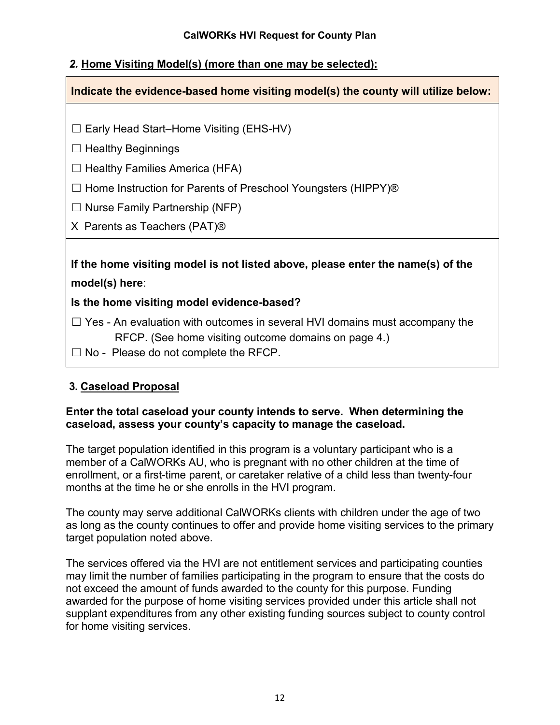### *2.* **Home Visiting Model(s) (more than one may be selected):**

| Indicate the evidence-based home visiting model(s) the county will utilize below:  |  |  |  |
|------------------------------------------------------------------------------------|--|--|--|
|                                                                                    |  |  |  |
| $\Box$ Early Head Start-Home Visiting (EHS-HV)                                     |  |  |  |
| $\Box$ Healthy Beginnings                                                          |  |  |  |
| $\Box$ Healthy Families America (HFA)                                              |  |  |  |
| $\Box$ Home Instruction for Parents of Preschool Youngsters (HIPPY) <sup>®</sup>   |  |  |  |
| $\Box$ Nurse Family Partnership (NFP)                                              |  |  |  |
| X Parents as Teachers (PAT) <sup>®</sup>                                           |  |  |  |
|                                                                                    |  |  |  |
| If the home visiting model is not listed above, please enter the name(s) of the    |  |  |  |
| model(s) here:                                                                     |  |  |  |
| Is the home visiting model evidence-based?                                         |  |  |  |
| $\Box$ Yes - An evaluation with outcomes in several HVI domains must accompany the |  |  |  |
| RFCP. (See home visiting outcome domains on page 4.)                               |  |  |  |
| $\Box$ No - Please do not complete the RFCP.                                       |  |  |  |
|                                                                                    |  |  |  |

### **3. Caseload Proposal**

### **Enter the total caseload your county intends to serve. When determining the caseload, assess your county's capacity to manage the caseload.**

The target population identified in this program is a voluntary participant who is a member of a CalWORKs AU, who is pregnant with no other children at the time of enrollment, or a first-time parent, or caretaker relative of a child less than twenty-four months at the time he or she enrolls in the HVI program.

The county may serve additional CalWORKs clients with children under the age of two as long as the county continues to offer and provide home visiting services to the primary target population noted above.

The services offered via the HVI are not entitlement services and participating counties may limit the number of families participating in the program to ensure that the costs do not exceed the amount of funds awarded to the county for this purpose. Funding awarded for the purpose of home visiting services provided under this article shall not supplant expenditures from any other existing funding sources subject to county control for home visiting services.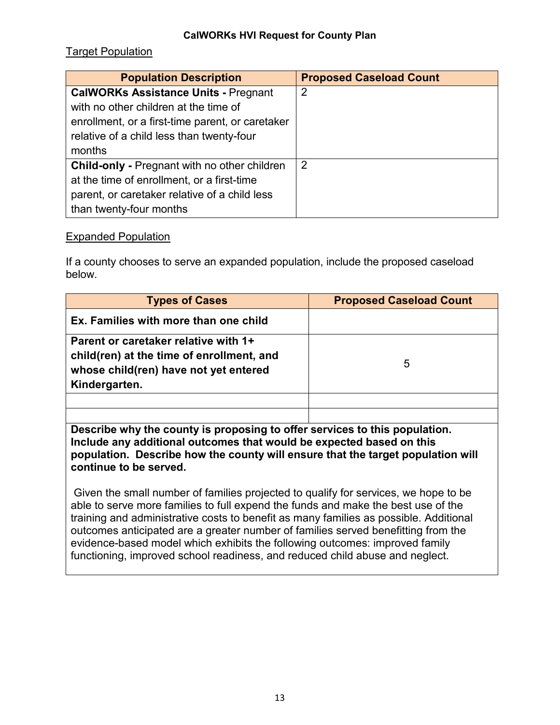### Target Population

| <b>Population Description</b>                       | <b>Proposed Caseload Count</b> |
|-----------------------------------------------------|--------------------------------|
| <b>CalWORKs Assistance Units - Pregnant</b>         | $\overline{2}$                 |
| with no other children at the time of               |                                |
| enrollment, or a first-time parent, or caretaker    |                                |
| relative of a child less than twenty-four           |                                |
| months                                              |                                |
| <b>Child-only - Pregnant with no other children</b> | 2                              |
| at the time of enrollment, or a first-time          |                                |
| parent, or caretaker relative of a child less       |                                |
| than twenty-four months                             |                                |

### Expanded Population

If a county chooses to serve an expanded population, include the proposed caseload below.

| <b>Types of Cases</b>                                                                                                                       | <b>Proposed Caseload Count</b> |
|---------------------------------------------------------------------------------------------------------------------------------------------|--------------------------------|
| Ex. Families with more than one child                                                                                                       |                                |
| Parent or caretaker relative with 1+<br>child(ren) at the time of enrollment, and<br>whose child(ren) have not yet entered<br>Kindergarten. | 5                              |
|                                                                                                                                             |                                |
|                                                                                                                                             |                                |

**Describe why the county is proposing to offer services to this population. Include any additional outcomes that would be expected based on this population. Describe how the county will ensure that the target population will continue to be served.**

.Given the small number of families projected to qualify for services, we hope to be able to serve more families to full expend the funds and make the best use of the training and administrative costs to benefit as many families as possible. Additional outcomes anticipated are a greater number of families served benefitting from the evidence-based model which exhibits the following outcomes: improved family functioning, improved school readiness, and reduced child abuse and neglect.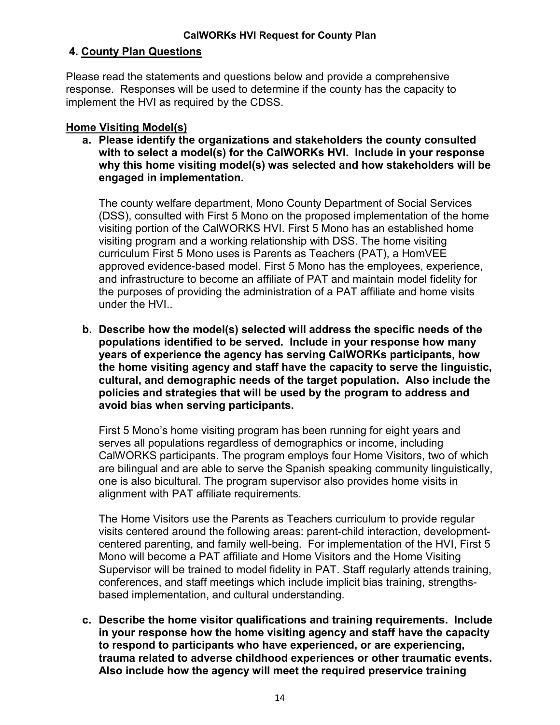### **4. County Plan Questions**

Please read the statements and questions below and provide a comprehensive response. Responses will be used to determine if the county has the capacity to implement the HVI as required by the CDSS.

### **Home Visiting Model(s)**

**a. Please identify the organizations and stakeholders the county consulted with to select a model(s) for the CalWORKs HVI. Include in your response why this home visiting model(s) was selected and how stakeholders will be engaged in implementation.**

The county welfare department, Mono County Department of Social Services (DSS), consulted with First 5 Mono on the proposed implementation of the home visiting portion of the CalWORKS HVI. First 5 Mono has an established home visiting program and a working relationship with DSS. The home visiting curriculum First 5 Mono uses is Parents as Teachers (PAT), a HomVEE approved evidence-based model. First 5 Mono has the employees, experience, and infrastructure to become an affiliate of PAT and maintain model fidelity for the purposes of providing the administration of a PAT affiliate and home visits under the HVI..

**b. Describe how the model(s) selected will address the specific needs of the populations identified to be served. Include in your response how many years of experience the agency has serving CalWORKs participants, how the home visiting agency and staff have the capacity to serve the linguistic, cultural, and demographic needs of the target population. Also include the policies and strategies that will be used by the program to address and avoid bias when serving participants.**

First 5 Mono's home visiting program has been running for eight years and serves all populations regardless of demographics or income, including CalWORKS participants. The program employs four Home Visitors, two of which are bilingual and are able to serve the Spanish speaking community linguistically, one is also bicultural. The program supervisor also provides home visits in alignment with PAT affiliate requirements.

The Home Visitors use the Parents as Teachers curriculum to provide regular visits centered around the following areas: parent-child interaction, developmentcentered parenting, and family well-being. For implementation of the HVI, First 5 Mono will become a PAT affiliate and Home Visitors and the Home Visiting Supervisor will be trained to model fidelity in PAT. Staff regularly attends training, conferences, and staff meetings which include implicit bias training, strengthsbased implementation, and cultural understanding.

**c. Describe the home visitor qualifications and training requirements. Include in your response how the home visiting agency and staff have the capacity to respond to participants who have experienced, or are experiencing, trauma related to adverse childhood experiences or other traumatic events. Also include how the agency will meet the required preservice training**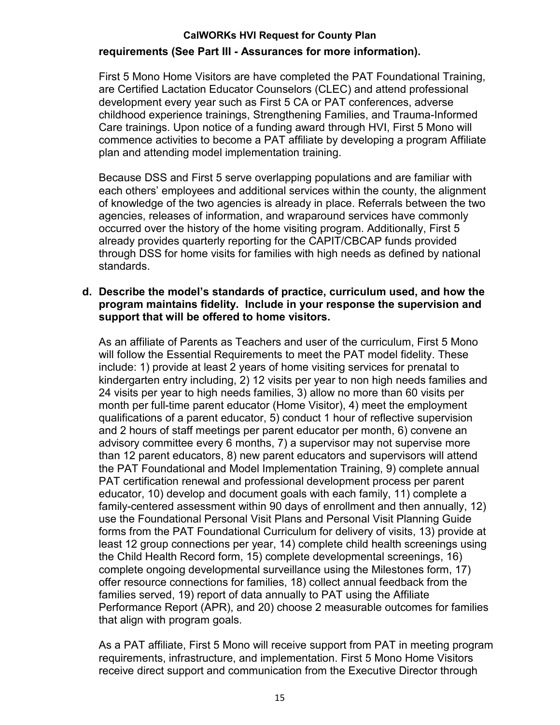### **requirements (See Part III - Assurances for more information).**

First 5 Mono Home Visitors are have completed the PAT Foundational Training, are Certified Lactation Educator Counselors (CLEC) and attend professional development every year such as First 5 CA or PAT conferences, adverse childhood experience trainings, Strengthening Families, and Trauma-Informed Care trainings. Upon notice of a funding award through HVI, First 5 Mono will commence activities to become a PAT affiliate by developing a program Affiliate plan and attending model implementation training.

Because DSS and First 5 serve overlapping populations and are familiar with each others' employees and additional services within the county, the alignment of knowledge of the two agencies is already in place. Referrals between the two agencies, releases of information, and wraparound services have commonly occurred over the history of the home visiting program. Additionally, First 5 already provides quarterly reporting for the CAPIT/CBCAP funds provided through DSS for home visits for families with high needs as defined by national standards.

### **d. Describe the model's standards of practice, curriculum used, and how the program maintains fidelity. Include in your response the supervision and support that will be offered to home visitors.**

As an affiliate of Parents as Teachers and user of the curriculum, First 5 Mono will follow the Essential Requirements to meet the PAT model fidelity. These include: 1) provide at least 2 years of home visiting services for prenatal to kindergarten entry including, 2) 12 visits per year to non high needs families and 24 visits per year to high needs families, 3) allow no more than 60 visits per month per full-time parent educator (Home Visitor), 4) meet the employment qualifications of a parent educator, 5) conduct 1 hour of reflective supervision and 2 hours of staff meetings per parent educator per month, 6) convene an advisory committee every 6 months, 7) a supervisor may not supervise more than 12 parent educators, 8) new parent educators and supervisors will attend the PAT Foundational and Model Implementation Training, 9) complete annual PAT certification renewal and professional development process per parent educator, 10) develop and document goals with each family, 11) complete a family-centered assessment within 90 days of enrollment and then annually, 12) use the Foundational Personal Visit Plans and Personal Visit Planning Guide forms from the PAT Foundational Curriculum for delivery of visits, 13) provide at least 12 group connections per year, 14) complete child health screenings using the Child Health Record form, 15) complete developmental screenings, 16) complete ongoing developmental surveillance using the Milestones form, 17) offer resource connections for families, 18) collect annual feedback from the families served, 19) report of data annually to PAT using the Affiliate Performance Report (APR), and 20) choose 2 measurable outcomes for families that align with program goals.

As a PAT affiliate, First 5 Mono will receive support from PAT in meeting program requirements, infrastructure, and implementation. First 5 Mono Home Visitors receive direct support and communication from the Executive Director through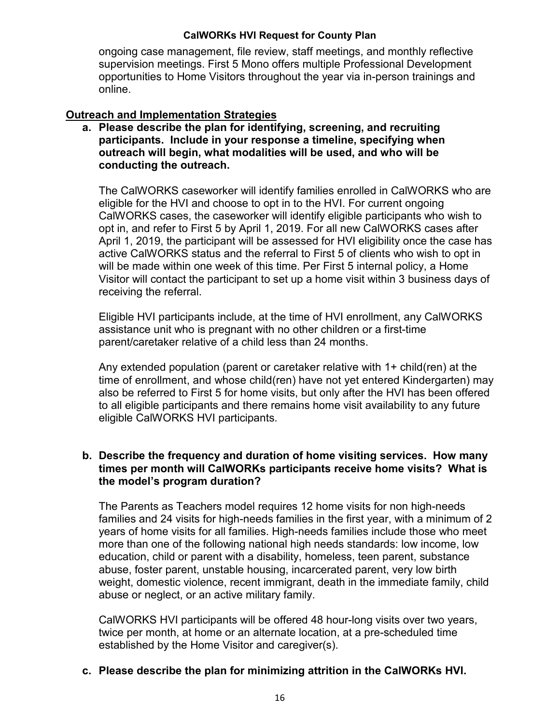ongoing case management, file review, staff meetings, and monthly reflective supervision meetings. First 5 Mono offers multiple Professional Development opportunities to Home Visitors throughout the year via in-person trainings and online.

### **Outreach and Implementation Strategies**

**a. Please describe the plan for identifying, screening, and recruiting participants. Include in your response a timeline, specifying when outreach will begin, what modalities will be used, and who will be conducting the outreach.**

The CalWORKS caseworker will identify families enrolled in CalWORKS who are eligible for the HVI and choose to opt in to the HVI. For current ongoing CalWORKS cases, the caseworker will identify eligible participants who wish to opt in, and refer to First 5 by April 1, 2019. For all new CalWORKS cases after April 1, 2019, the participant will be assessed for HVI eligibility once the case has active CalWORKS status and the referral to First 5 of clients who wish to opt in will be made within one week of this time. Per First 5 internal policy, a Home Visitor will contact the participant to set up a home visit within 3 business days of receiving the referral.

Eligible HVI participants include, at the time of HVI enrollment, any CalWORKS assistance unit who is pregnant with no other children or a first-time parent/caretaker relative of a child less than 24 months.

Any extended population (parent or caretaker relative with 1+ child(ren) at the time of enrollment, and whose child(ren) have not yet entered Kindergarten) may also be referred to First 5 for home visits, but only after the HVI has been offered to all eligible participants and there remains home visit availability to any future eligible CalWORKS HVI participants.

### **b. Describe the frequency and duration of home visiting services. How many times per month will CalWORKs participants receive home visits? What is the model's program duration?**

The Parents as Teachers model requires 12 home visits for non high-needs families and 24 visits for high-needs families in the first year, with a minimum of 2 years of home visits for all families. High-needs families include those who meet more than one of the following national high needs standards: low income, low education, child or parent with a disability, homeless, teen parent, substance abuse, foster parent, unstable housing, incarcerated parent, very low birth weight, domestic violence, recent immigrant, death in the immediate family, child abuse or neglect, or an active military family.

CalWORKS HVI participants will be offered 48 hour-long visits over two years, twice per month, at home or an alternate location, at a pre-scheduled time established by the Home Visitor and caregiver(s).

### **c. Please describe the plan for minimizing attrition in the CalWORKs HVI.**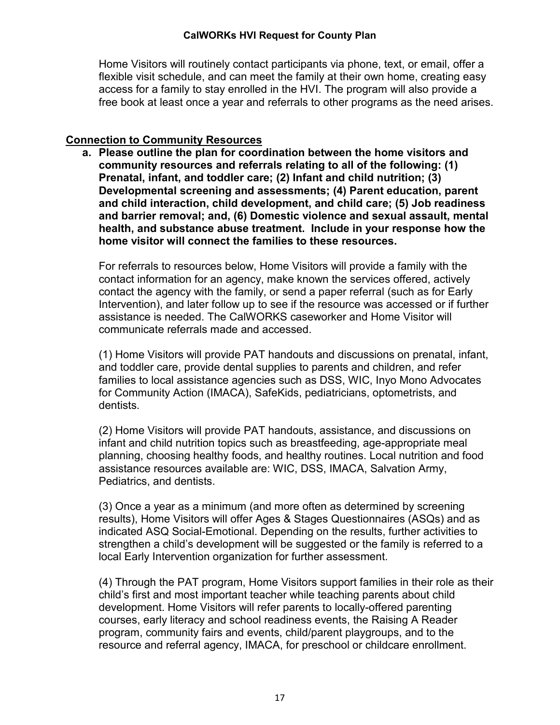Home Visitors will routinely contact participants via phone, text, or email, offer a flexible visit schedule, and can meet the family at their own home, creating easy access for a family to stay enrolled in the HVI. The program will also provide a free book at least once a year and referrals to other programs as the need arises.

### **Connection to Community Resources**

**a. Please outline the plan for coordination between the home visitors and community resources and referrals relating to all of the following: (1) Prenatal, infant, and toddler care; (2) Infant and child nutrition; (3) Developmental screening and assessments; (4) Parent education, parent and child interaction, child development, and child care; (5) Job readiness and barrier removal; and, (6) Domestic violence and sexual assault, mental health, and substance abuse treatment. Include in your response how the home visitor will connect the families to these resources.**

For referrals to resources below, Home Visitors will provide a family with the contact information for an agency, make known the services offered, actively contact the agency with the family, or send a paper referral (such as for Early Intervention), and later follow up to see if the resource was accessed or if further assistance is needed. The CalWORKS caseworker and Home Visitor will communicate referrals made and accessed.

(1) Home Visitors will provide PAT handouts and discussions on prenatal, infant, and toddler care, provide dental supplies to parents and children, and refer families to local assistance agencies such as DSS, WIC, Inyo Mono Advocates for Community Action (IMACA), SafeKids, pediatricians, optometrists, and dentists.

(2) Home Visitors will provide PAT handouts, assistance, and discussions on infant and child nutrition topics such as breastfeeding, age-appropriate meal planning, choosing healthy foods, and healthy routines. Local nutrition and food assistance resources available are: WIC, DSS, IMACA, Salvation Army, Pediatrics, and dentists.

(3) Once a year as a minimum (and more often as determined by screening results), Home Visitors will offer Ages & Stages Questionnaires (ASQs) and as indicated ASQ Social-Emotional. Depending on the results, further activities to strengthen a child's development will be suggested or the family is referred to a local Early Intervention organization for further assessment.

(4) Through the PAT program, Home Visitors support families in their role as their child's first and most important teacher while teaching parents about child development. Home Visitors will refer parents to locally-offered parenting courses, early literacy and school readiness events, the Raising A Reader program, community fairs and events, child/parent playgroups, and to the resource and referral agency, IMACA, for preschool or childcare enrollment.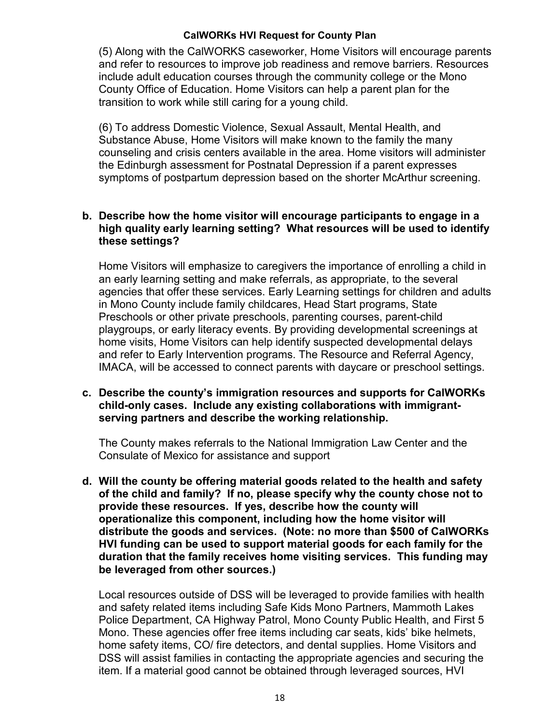(5) Along with the CalWORKS caseworker, Home Visitors will encourage parents and refer to resources to improve job readiness and remove barriers. Resources include adult education courses through the community college or the Mono County Office of Education. Home Visitors can help a parent plan for the transition to work while still caring for a young child.

(6) To address Domestic Violence, Sexual Assault, Mental Health, and Substance Abuse, Home Visitors will make known to the family the many counseling and crisis centers available in the area. Home visitors will administer the Edinburgh assessment for Postnatal Depression if a parent expresses symptoms of postpartum depression based on the shorter McArthur screening.

### **b. Describe how the home visitor will encourage participants to engage in a high quality early learning setting? What resources will be used to identify these settings?**

Home Visitors will emphasize to caregivers the importance of enrolling a child in an early learning setting and make referrals, as appropriate, to the several agencies that offer these services. Early Learning settings for children and adults in Mono County include family childcares, Head Start programs, State Preschools or other private preschools, parenting courses, parent-child playgroups, or early literacy events. By providing developmental screenings at home visits, Home Visitors can help identify suspected developmental delays and refer to Early Intervention programs. The Resource and Referral Agency, IMACA, will be accessed to connect parents with daycare or preschool settings.

**c. Describe the county's immigration resources and supports for CalWORKs child-only cases. Include any existing collaborations with immigrantserving partners and describe the working relationship.**

The County makes referrals to the National Immigration Law Center and the Consulate of Mexico for assistance and support

**d. Will the county be offering material goods related to the health and safety of the child and family? If no, please specify why the county chose not to provide these resources. If yes, describe how the county will operationalize this component, including how the home visitor will distribute the goods and services. (Note: no more than \$500 of CalWORKs HVI funding can be used to support material goods for each family for the duration that the family receives home visiting services. This funding may be leveraged from other sources.)**

Local resources outside of DSS will be leveraged to provide families with health and safety related items including Safe Kids Mono Partners, Mammoth Lakes Police Department, CA Highway Patrol, Mono County Public Health, and First 5 Mono. These agencies offer free items including car seats, kids' bike helmets, home safety items, CO/ fire detectors, and dental supplies. Home Visitors and DSS will assist families in contacting the appropriate agencies and securing the item. If a material good cannot be obtained through leveraged sources, HVI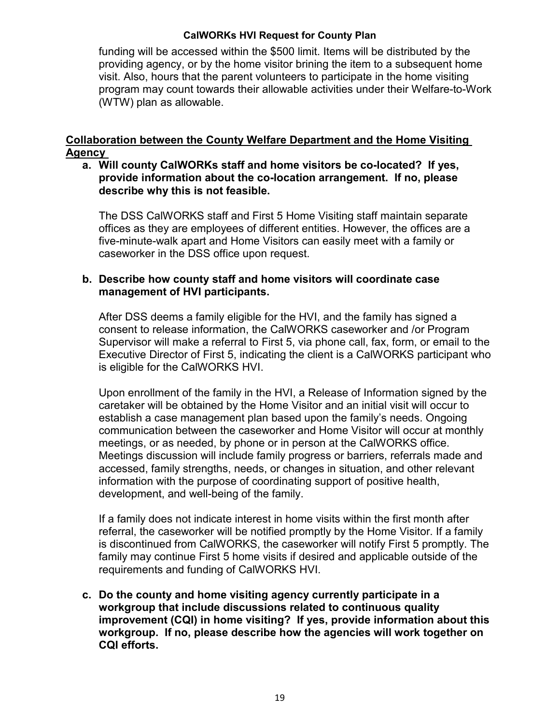funding will be accessed within the \$500 limit. Items will be distributed by the providing agency, or by the home visitor brining the item to a subsequent home visit. Also, hours that the parent volunteers to participate in the home visiting program may count towards their allowable activities under their Welfare-to-Work (WTW) plan as allowable.

### **Collaboration between the County Welfare Department and the Home Visiting Agency**

### **a. Will county CalWORKs staff and home visitors be co-located? If yes, provide information about the co-location arrangement. If no, please describe why this is not feasible.**

The DSS CalWORKS staff and First 5 Home Visiting staff maintain separate offices as they are employees of different entities. However, the offices are a five-minute-walk apart and Home Visitors can easily meet with a family or caseworker in the DSS office upon request.

### **b. Describe how county staff and home visitors will coordinate case management of HVI participants.**

After DSS deems a family eligible for the HVI, and the family has signed a consent to release information, the CalWORKS caseworker and /or Program Supervisor will make a referral to First 5, via phone call, fax, form, or email to the Executive Director of First 5, indicating the client is a CalWORKS participant who is eligible for the CalWORKS HVI.

Upon enrollment of the family in the HVI, a Release of Information signed by the caretaker will be obtained by the Home Visitor and an initial visit will occur to establish a case management plan based upon the family's needs. Ongoing communication between the caseworker and Home Visitor will occur at monthly meetings, or as needed, by phone or in person at the CalWORKS office. Meetings discussion will include family progress or barriers, referrals made and accessed, family strengths, needs, or changes in situation, and other relevant information with the purpose of coordinating support of positive health, development, and well-being of the family.

If a family does not indicate interest in home visits within the first month after referral, the caseworker will be notified promptly by the Home Visitor. If a family is discontinued from CalWORKS, the caseworker will notify First 5 promptly. The family may continue First 5 home visits if desired and applicable outside of the requirements and funding of CalWORKS HVI.

**c. Do the county and home visiting agency currently participate in a workgroup that include discussions related to continuous quality improvement (CQI) in home visiting? If yes, provide information about this workgroup. If no, please describe how the agencies will work together on CQI efforts.**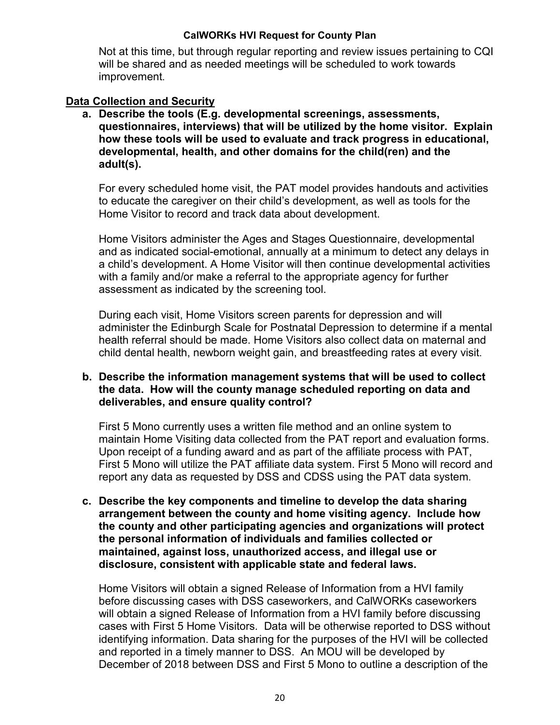Not at this time, but through regular reporting and review issues pertaining to CQI will be shared and as needed meetings will be scheduled to work towards improvement.

### **Data Collection and Security**

**a. Describe the tools (E.g. developmental screenings, assessments, questionnaires, interviews) that will be utilized by the home visitor. Explain how these tools will be used to evaluate and track progress in educational, developmental, health, and other domains for the child(ren) and the adult(s).**

For every scheduled home visit, the PAT model provides handouts and activities to educate the caregiver on their child's development, as well as tools for the Home Visitor to record and track data about development.

Home Visitors administer the Ages and Stages Questionnaire, developmental and as indicated social-emotional, annually at a minimum to detect any delays in a child's development. A Home Visitor will then continue developmental activities with a family and/or make a referral to the appropriate agency for further assessment as indicated by the screening tool.

During each visit, Home Visitors screen parents for depression and will administer the Edinburgh Scale for Postnatal Depression to determine if a mental health referral should be made. Home Visitors also collect data on maternal and child dental health, newborn weight gain, and breastfeeding rates at every visit.

### **b. Describe the information management systems that will be used to collect the data. How will the county manage scheduled reporting on data and deliverables, and ensure quality control?**

First 5 Mono currently uses a written file method and an online system to maintain Home Visiting data collected from the PAT report and evaluation forms. Upon receipt of a funding award and as part of the affiliate process with PAT, First 5 Mono will utilize the PAT affiliate data system. First 5 Mono will record and report any data as requested by DSS and CDSS using the PAT data system.

**c. Describe the key components and timeline to develop the data sharing arrangement between the county and home visiting agency. Include how the county and other participating agencies and organizations will protect the personal information of individuals and families collected or maintained, against loss, unauthorized access, and illegal use or disclosure, consistent with applicable state and federal laws.**

Home Visitors will obtain a signed Release of Information from a HVI family before discussing cases with DSS caseworkers, and CalWORKs caseworkers will obtain a signed Release of Information from a HVI family before discussing cases with First 5 Home Visitors. Data will be otherwise reported to DSS without identifying information. Data sharing for the purposes of the HVI will be collected and reported in a timely manner to DSS. An MOU will be developed by December of 2018 between DSS and First 5 Mono to outline a description of the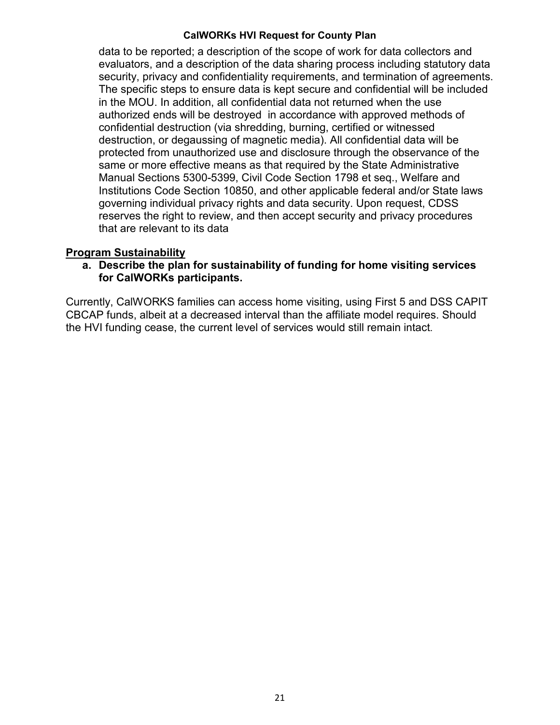data to be reported; a description of the scope of work for data collectors and evaluators, and a description of the data sharing process including statutory data security, privacy and confidentiality requirements, and termination of agreements. The specific steps to ensure data is kept secure and confidential will be included in the MOU. In addition, all confidential data not returned when the use authorized ends will be destroyed in accordance with approved methods of confidential destruction (via shredding, burning, certified or witnessed destruction, or degaussing of magnetic media). All confidential data will be protected from unauthorized use and disclosure through the observance of the same or more effective means as that required by the State Administrative Manual Sections 5300-5399, Civil Code Section 1798 et seq., Welfare and Institutions Code Section 10850, and other applicable federal and/or State laws governing individual privacy rights and data security. Upon request, CDSS reserves the right to review, and then accept security and privacy procedures that are relevant to its data

### **Program Sustainability**

**a. Describe the plan for sustainability of funding for home visiting services for CalWORKs participants.**

Currently, CalWORKS families can access home visiting, using First 5 and DSS CAPIT CBCAP funds, albeit at a decreased interval than the affiliate model requires. Should the HVI funding cease, the current level of services would still remain intact.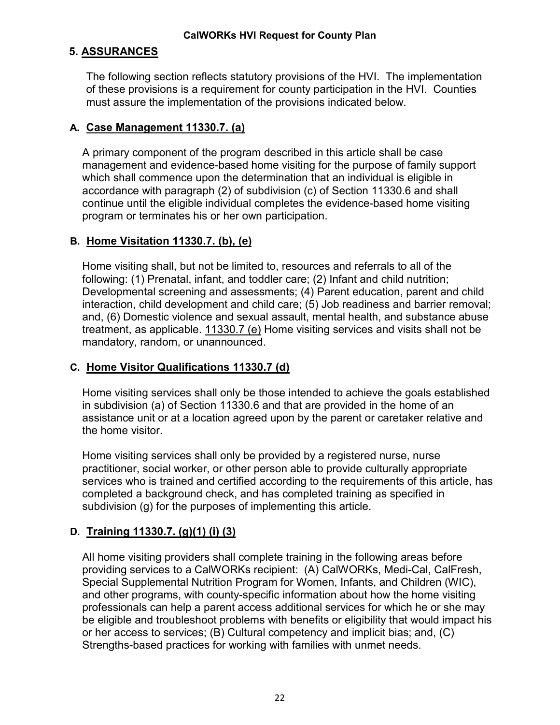### **5. ASSURANCES**

The following section reflects statutory provisions of the HVI. The implementation of these provisions is a requirement for county participation in the HVI. Counties must assure the implementation of the provisions indicated below.

### **A. Case Management 11330.7. (a)**

A primary component of the program described in this article shall be case management and evidence-based home visiting for the purpose of family support which shall commence upon the determination that an individual is eligible in accordance with paragraph (2) of subdivision (c) of Section 11330.6 and shall continue until the eligible individual completes the evidence-based home visiting program or terminates his or her own participation.

### **B. Home Visitation 11330.7. (b), (e)**

Home visiting shall, but not be limited to, resources and referrals to all of the following: (1) Prenatal, infant, and toddler care; (2) Infant and child nutrition; Developmental screening and assessments; (4) Parent education, parent and child interaction, child development and child care; (5) Job readiness and barrier removal; and, (6) Domestic violence and sexual assault, mental health, and substance abuse treatment, as applicable. 11330.7 (e) Home visiting services and visits shall not be mandatory, random, or unannounced.

### **C. Home Visitor Qualifications 11330.7 (d)**

Home visiting services shall only be those intended to achieve the goals established in subdivision (a) of Section 11330.6 and that are provided in the home of an assistance unit or at a location agreed upon by the parent or caretaker relative and the home visitor.

Home visiting services shall only be provided by a registered nurse, nurse practitioner, social worker, or other person able to provide culturally appropriate services who is trained and certified according to the requirements of this article, has completed a background check, and has completed training as specified in subdivision (g) for the purposes of implementing this article.

### **D. Training 11330.7. (g)(1) (i) (3)**

All home visiting providers shall complete training in the following areas before providing services to a CalWORKs recipient: (A) CalWORKs, Medi-Cal, CalFresh, Special Supplemental Nutrition Program for Women, Infants, and Children (WIC), and other programs, with county-specific information about how the home visiting professionals can help a parent access additional services for which he or she may be eligible and troubleshoot problems with benefits or eligibility that would impact his or her access to services; (B) Cultural competency and implicit bias; and, (C) Strengths-based practices for working with families with unmet needs.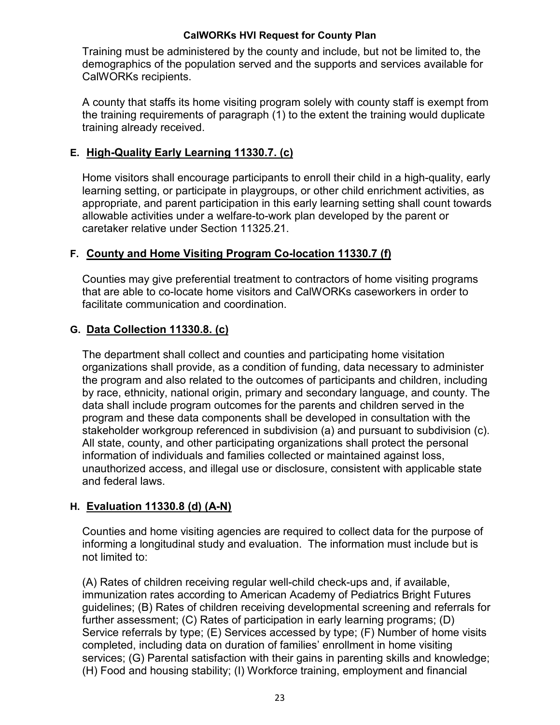Training must be administered by the county and include, but not be limited to, the demographics of the population served and the supports and services available for CalWORKs recipients.

A county that staffs its home visiting program solely with county staff is exempt from the training requirements of paragraph (1) to the extent the training would duplicate training already received.

### **E. High-Quality Early Learning 11330.7. (c)**

Home visitors shall encourage participants to enroll their child in a high-quality, early learning setting, or participate in playgroups, or other child enrichment activities, as appropriate, and parent participation in this early learning setting shall count towards allowable activities under a welfare-to-work plan developed by the parent or caretaker relative under Section 11325.21.

### **F. County and Home Visiting Program Co-location 11330.7 (f)**

Counties may give preferential treatment to contractors of home visiting programs that are able to co-locate home visitors and CalWORKs caseworkers in order to facilitate communication and coordination.

### **G. Data Collection 11330.8. (c)**

The department shall collect and counties and participating home visitation organizations shall provide, as a condition of funding, data necessary to administer the program and also related to the outcomes of participants and children, including by race, ethnicity, national origin, primary and secondary language, and county. The data shall include program outcomes for the parents and children served in the program and these data components shall be developed in consultation with the stakeholder workgroup referenced in subdivision (a) and pursuant to subdivision (c). All state, county, and other participating organizations shall protect the personal information of individuals and families collected or maintained against loss, unauthorized access, and illegal use or disclosure, consistent with applicable state and federal laws.

### **H. Evaluation 11330.8 (d) (A-N)**

Counties and home visiting agencies are required to collect data for the purpose of informing a longitudinal study and evaluation. The information must include but is not limited to:

(A) Rates of children receiving regular well-child check-ups and, if available, immunization rates according to American Academy of Pediatrics Bright Futures guidelines; (B) Rates of children receiving developmental screening and referrals for further assessment; (C) Rates of participation in early learning programs; (D) Service referrals by type; (E) Services accessed by type; (F) Number of home visits completed, including data on duration of families' enrollment in home visiting services; (G) Parental satisfaction with their gains in parenting skills and knowledge; (H) Food and housing stability; (I) Workforce training, employment and financial